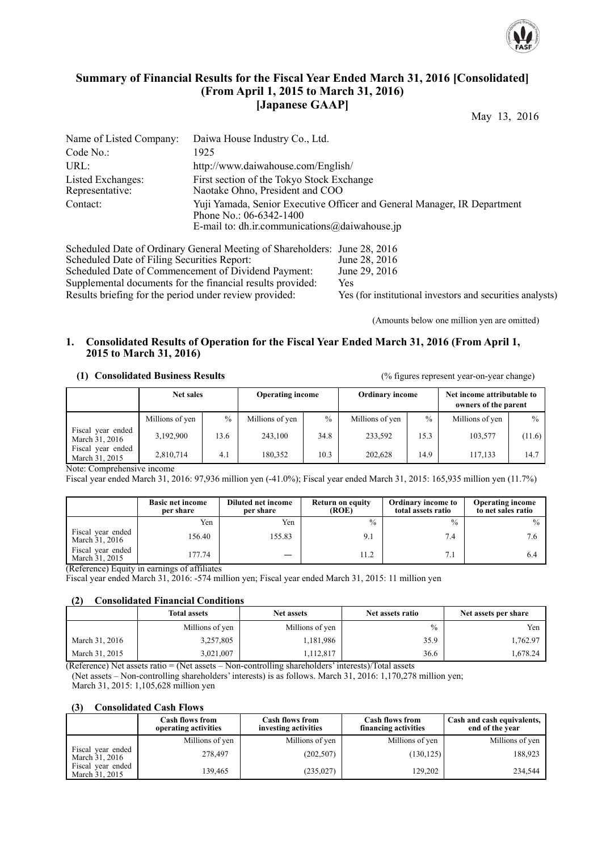

### **Summary of Financial Results for the Fiscal Year Ended March 31, 2016 [Consolidated] (From April 1, 2015 to March 31, 2016) [Japanese GAAP]**

May 13, 2016

| Name of Listed Company:              | Daiwa House Industry Co., Ltd.                                                                                                                           |
|--------------------------------------|----------------------------------------------------------------------------------------------------------------------------------------------------------|
| Code No.:                            | 1925                                                                                                                                                     |
| URL:                                 | http://www.daiwahouse.com/English/                                                                                                                       |
| Listed Exchanges:<br>Representative: | First section of the Tokyo Stock Exchange<br>Naotake Ohno, President and COO                                                                             |
| Contact:                             | Yuji Yamada, Senior Executive Officer and General Manager, IR Department<br>Phone No.: 06-6342-1400<br>E-mail to: dh.ir.communications $@$ daiwahouse.jp |

Scheduled Date of Ordinary General Meeting of Shareholders: June 28, 2016<br>Scheduled Date of Filing Securities Report: June 28, 2016 Scheduled Date of Filing Securities Report: June 28, 2016<br>Scheduled Date of Commencement of Dividend Payment: June 29, 2016 Scheduled Date of Commencement of Dividend Payment: Supplemental documents for the financial results provided: Yes Results briefing for the period under review provided: Yes (for institutional investors and securities analysts)

(Amounts below one million yen are omitted)

#### **1. Consolidated Results of Operation for the Fiscal Year Ended March 31, 2016 (From April 1, 2015 to March 31, 2016)**

 **(1) Consolidated Business Results** (% figures represent year-on-year change)

|                                     | <b>Net sales</b> |               |                 | <b>Operating income</b> |                 | <b>Ordinary income</b> |                 | Net income attributable to<br>owners of the parent |  |
|-------------------------------------|------------------|---------------|-----------------|-------------------------|-----------------|------------------------|-----------------|----------------------------------------------------|--|
|                                     | Millions of yen  | $\frac{0}{0}$ | Millions of yen | $\frac{0}{0}$           | Millions of yen | $\frac{0}{0}$          | Millions of yen | $\frac{0}{0}$                                      |  |
| Fiscal year ended<br>March 31, 2016 | 3,192,900        | 13.6          | 243,100         | 34.8                    | 233,592         | 15.3                   | 103,577         | (11.6)                                             |  |
| Fiscal year ended<br>March 31, 2015 | 2,810,714        | 4.1           | 180,352         | 10.3                    | 202.628         | 14.9                   | 117.133         | 14.7                                               |  |

Note: Comprehensive income

Fiscal year ended March 31, 2016: 97,936 million yen (-41.0%); Fiscal year ended March 31, 2015: 165,935 million yen (11.7%)

|                                     | <b>Basic net income</b><br>per share | Diluted net income<br>per share | Return on equity<br>(ROE) | Ordinary income to<br>total assets ratio | <b>Operating income</b><br>to net sales ratio |
|-------------------------------------|--------------------------------------|---------------------------------|---------------------------|------------------------------------------|-----------------------------------------------|
|                                     | Yen                                  | Yen                             | $\%$                      | $\frac{0}{0}$                            | $\frac{0}{0}$                                 |
| Fiscal year ended<br>March 31, 2016 | 156.40                               | 155.83                          |                           | 7.4                                      | 7.6                                           |
| Fiscal year ended<br>March 31, 2015 | 177.74                               | —                               | 11.2                      | 7.1                                      | 6.4                                           |

(Reference) Equity in earnings of affiliates

Fiscal year ended March 31, 2016: -574 million yen; Fiscal year ended March 31, 2015: 11 million yen

#### **(2) Consolidated Financial Conditions**

|                | <b>Total assets</b> | <b>Net assets</b> | Net assets ratio | Net assets per share |
|----------------|---------------------|-------------------|------------------|----------------------|
|                | Millions of yen     | Millions of yen   | $\%$             | Yen                  |
| March 31, 2016 | 3,257,805           | 1,181,986         | 35.9             | 1,762.97             |
| March 31, 2015 | 3,021,007           | .112,817          | 36.6             | .678.24              |

(Reference) Net assets ratio = (Net assets – Non-controlling shareholders' interests)/Total assets

(Net assets – Non-controlling shareholders' interests) is as follows. March 31, 2016: 1,170,278 million yen; March 31, 2015: 1,105,628 million yen

#### **(3) Consolidated Cash Flows**

|                                     | <b>Cash flows from</b><br>operating activities | <b>Cash flows from</b><br>investing activities | <b>Cash flows from</b><br>financing activities | Cash and cash equivalents,<br>end of the year |
|-------------------------------------|------------------------------------------------|------------------------------------------------|------------------------------------------------|-----------------------------------------------|
|                                     | Millions of yen                                | Millions of yen                                | Millions of yen                                | Millions of yen                               |
| Fiscal year ended<br>March 31, 2016 | 278.497                                        | (202, 507)                                     | (130, 125)                                     | 188,923                                       |
| Fiscal year ended<br>March 31, 2015 | 139.465                                        | (235, 027)                                     | 129,202                                        | 234,544                                       |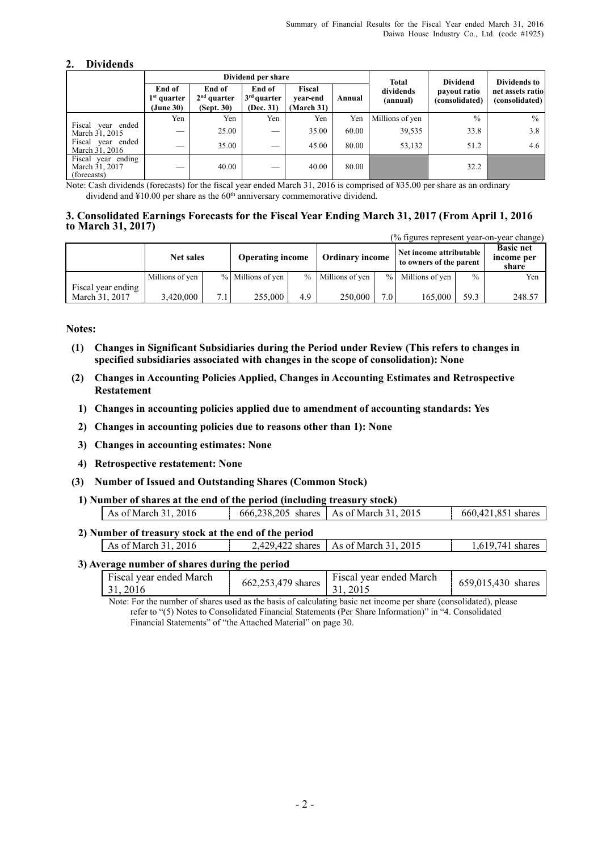#### **2. Dividends**

|                                                     |                                      |                                       | Dividend per share                   |                                  |        |                       | <b>Dividend</b><br><b>Total</b> |                                                    |  |
|-----------------------------------------------------|--------------------------------------|---------------------------------------|--------------------------------------|----------------------------------|--------|-----------------------|---------------------------------|----------------------------------------------------|--|
|                                                     | End of<br>$1st$ quarter<br>(June 30) | End of<br>$2nd$ quarter<br>(Sept. 30) | End of<br>$3rd$ quarter<br>(Dec. 31) | Fiscal<br>vear-end<br>(March 31) | Annual | dividends<br>(annual) | payout ratio<br>(consolidated)  | Dividends to<br>net assets ratio<br>(consolidated) |  |
|                                                     | Yen                                  | Yen                                   | Yen                                  | Yen                              | Yen    | Millions of yen       | $\frac{0}{0}$                   | $\frac{0}{0}$                                      |  |
| Fiscal year ended<br>March 31, 2015                 | $\overline{\phantom{a}}$             | 25.00                                 | __                                   | 35.00                            | 60.00  | 39,535                | 33.8                            | 3.8                                                |  |
| Fiscal year ended<br>March 31, 2016                 | __                                   | 35.00                                 | __                                   | 45.00                            | 80.00  | 53,132                | 51.2                            | 4.6                                                |  |
| Fiscal year ending<br>March 31, 2017<br>(forecasts) | $\overline{\phantom{a}}$             | 40.00                                 | __                                   | 40.00                            | 80.00  |                       | 32.2                            |                                                    |  |

Note: Cash dividends (forecasts) for the fiscal year ended March 31, 2016 is comprised of ¥35.00 per share as an ordinary dividend and ¥10.00 per share as the 60th anniversary commemorative dividend.

#### **3. Consolidated Earnings Forecasts for the Fiscal Year Ending March 31, 2017 (From April 1, 2016 to March 31, 2017)**

|                    | (% figures represent year-on-year change) |     |                         |     |                        |               |                                                    |      |                                         |  |  |  |
|--------------------|-------------------------------------------|-----|-------------------------|-----|------------------------|---------------|----------------------------------------------------|------|-----------------------------------------|--|--|--|
|                    | Net sales                                 |     | <b>Operating income</b> |     | <b>Ordinary income</b> |               | Net income attributable<br>to owners of the parent |      | <b>Basic net</b><br>income per<br>share |  |  |  |
|                    | Millions of yen                           |     | % Millions of yen       |     | % Millions of yen      | $\frac{0}{0}$ | Millions of yen                                    | $\%$ | Yen                                     |  |  |  |
| Fiscal year ending |                                           |     |                         |     |                        |               |                                                    |      |                                         |  |  |  |
| March 31, 2017     | 3,420,000                                 | 7.1 | 255,000                 | 4.9 | 250,000                | 7.0           | 165.000                                            | 59.3 | 248.57                                  |  |  |  |

**Notes:** 

- **(1) Changes in Significant Subsidiaries during the Period under Review (This refers to changes in specified subsidiaries associated with changes in the scope of consolidation): None**
- **(2) Changes in Accounting Policies Applied, Changes in Accounting Estimates and Retrospective Restatement** 
	- **1) Changes in accounting policies applied due to amendment of accounting standards: Yes**
	- **2) Changes in accounting policies due to reasons other than 1): None**
	- **3) Changes in accounting estimates: None**
	- **4) Retrospective restatement: None**
- **(3) Number of Issued and Outstanding Shares (Common Stock)**
- **1) Number of shares at the end of the period (including treasury stock)**

| As of March 31, 2016                                 | 666.238.205 shares As of March 31, 2015 | 660,421,851 shares |
|------------------------------------------------------|-----------------------------------------|--------------------|
| 2) Number of treasury stock at the end of the period |                                         |                    |
| As of March 31, 2016                                 | 2,429,422 shares   As of March 31, 2015 | 1.619.741 shares   |

#### **3) Average number of shares during the period**

| Fiscal year ended March<br>$-31,2016$ | Fiscal year ended March<br>$662,253,479$ shares   31, 2015 | 659,015,430 shares |
|---------------------------------------|------------------------------------------------------------|--------------------|
|                                       |                                                            |                    |

Note: For the number of shares used as the basis of calculating basic net income per share (consolidated), please refer to "(5) Notes to Consolidated Financial Statements (Per Share Information)" in "4. Consolidated Financial Statements" of "the Attached Material" on page 30.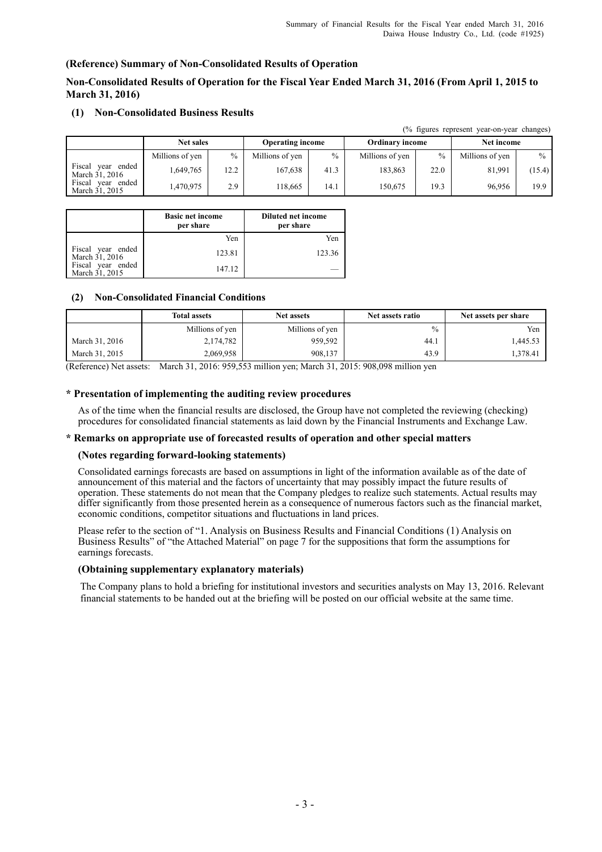#### **(Reference) Summary of Non-Consolidated Results of Operation**

#### **Non-Consolidated Results of Operation for the Fiscal Year Ended March 31, 2016 (From April 1, 2015 to March 31, 2016)**

|                                        | (% figures represent year-on-year changes) |               |                         |      |                        |               |                 |               |  |  |
|----------------------------------------|--------------------------------------------|---------------|-------------------------|------|------------------------|---------------|-----------------|---------------|--|--|
|                                        | <b>Net sales</b>                           |               | <b>Operating income</b> |      | <b>Ordinary income</b> |               | Net income      |               |  |  |
|                                        | Millions of yen                            | $\frac{0}{0}$ | Millions of yen         | $\%$ | Millions of yen        | $\frac{0}{0}$ | Millions of yen | $\frac{0}{0}$ |  |  |
| Fiscal<br>year ended<br>March 31, 2016 | 1.649.765                                  | 12.2          | 167.638                 | 41.3 | 183,863                | 22.0          | 81.991          | (15.4)        |  |  |
| Fiscal<br>vear ended<br>March 31, 2015 | 1.470.975                                  | 2.9           | 18.665                  | 14.1 | 150,675                | 19.3          | 96.956          | 19.9          |  |  |

#### **(1) Non-Consolidated Business Results**

|                                     | <b>Basic net income</b><br>per share | <b>Diluted net income</b><br>per share |
|-------------------------------------|--------------------------------------|----------------------------------------|
|                                     | Yen                                  | Yen                                    |
| Fiscal year ended<br>March 31, 2016 | 123.81                               | 123.36                                 |
| Fiscal year ended<br>March 31, 2015 | 147.12                               |                                        |

#### **(2) Non-Consolidated Financial Conditions**

|                | <b>Total assets</b> | <b>Net assets</b> | Net assets ratio | Net assets per share |
|----------------|---------------------|-------------------|------------------|----------------------|
|                | Millions of yen     | Millions of yen   | $\%$             | Yen                  |
| March 31, 2016 | 2,174,782           | 959,592           | 44.1             | 1,445.53             |
| March 31, 2015 | 2,069,958           | 908,137           | 43.9             | 1.378.41             |

(Reference) Net assets: March 31, 2016: 959,553 million yen; March 31, 2015: 908,098 million yen

#### **\* Presentation of implementing the auditing review procedures**

As of the time when the financial results are disclosed, the Group have not completed the reviewing (checking) procedures for consolidated financial statements as laid down by the Financial Instruments and Exchange Law.

#### **\* Remarks on appropriate use of forecasted results of operation and other special matters**

#### **(Notes regarding forward-looking statements)**

Consolidated earnings forecasts are based on assumptions in light of the information available as of the date of announcement of this material and the factors of uncertainty that may possibly impact the future results of operation. These statements do not mean that the Company pledges to realize such statements. Actual results may differ significantly from those presented herein as a consequence of numerous factors such as the financial market, economic conditions, competitor situations and fluctuations in land prices.

Please refer to the section of "1. Analysis on Business Results and Financial Conditions (1) Analysis on Business Results" of "the Attached Material" on page 7 for the suppositions that form the assumptions for earnings forecasts.

#### **(Obtaining supplementary explanatory materials)**

The Company plans to hold a briefing for institutional investors and securities analysts on May 13, 2016. Relevant financial statements to be handed out at the briefing will be posted on our official website at the same time.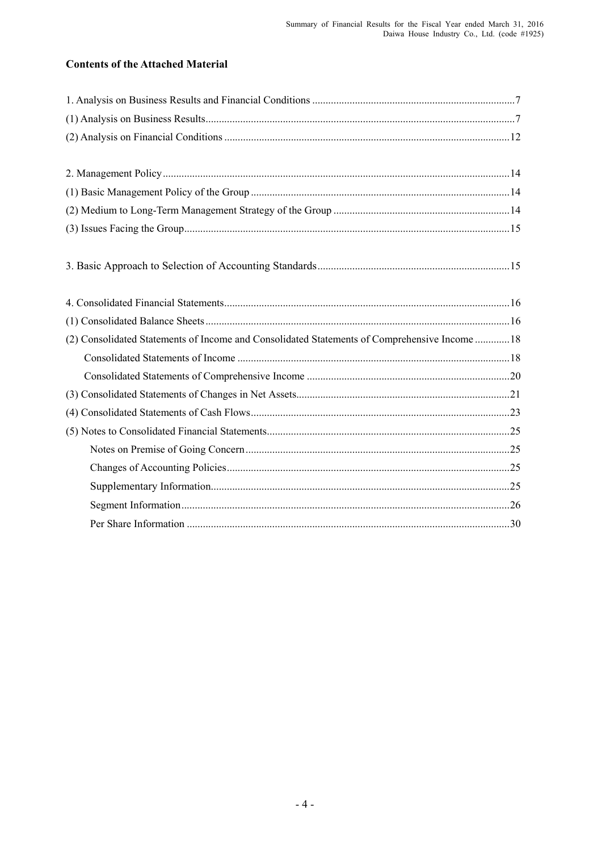## **Contents of the Attached Material**

| (2) Consolidated Statements of Income and Consolidated Statements of Comprehensive Income  18 |
|-----------------------------------------------------------------------------------------------|
|                                                                                               |
|                                                                                               |
|                                                                                               |
|                                                                                               |
|                                                                                               |
|                                                                                               |
|                                                                                               |
|                                                                                               |
|                                                                                               |
|                                                                                               |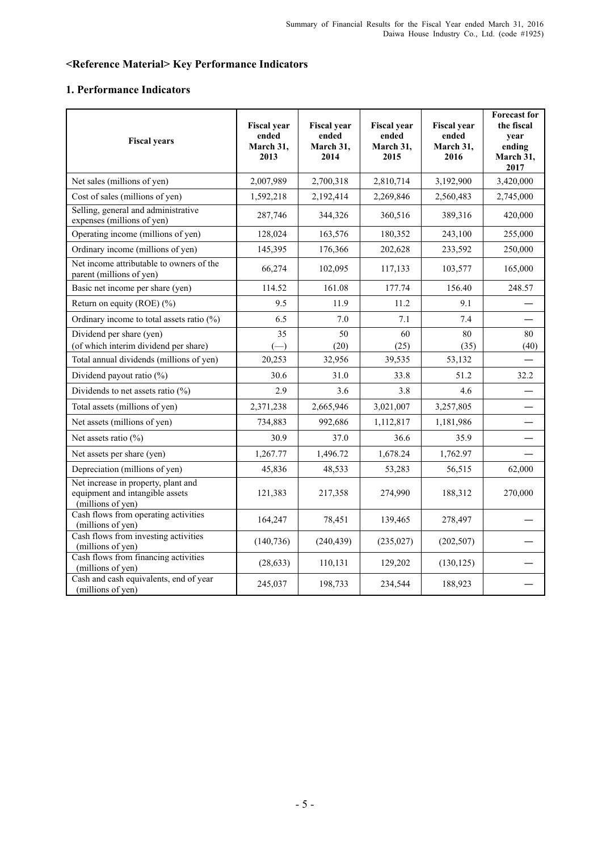## **<Reference Material> Key Performance Indicators**

### **1. Performance Indicators**

| <b>Fiscal years</b>                                                                         | <b>Fiscal year</b><br>ended<br>March 31,<br>2013 | <b>Fiscal</b> year<br>ended<br>March 31,<br>2014 | <b>Fiscal year</b><br>ended<br>March 31,<br>2015 | <b>Fiscal year</b><br>ended<br>March 31,<br>2016 | <b>Forecast for</b><br>the fiscal<br>year<br>ending<br>March 31,<br>2017 |
|---------------------------------------------------------------------------------------------|--------------------------------------------------|--------------------------------------------------|--------------------------------------------------|--------------------------------------------------|--------------------------------------------------------------------------|
| Net sales (millions of yen)                                                                 | 2,007,989                                        | 2,700,318                                        | 2,810,714                                        | 3,192,900                                        | 3,420,000                                                                |
| Cost of sales (millions of yen)                                                             | 1,592,218                                        | 2,192,414                                        | 2,269,846                                        | 2,560,483                                        | 2,745,000                                                                |
| Selling, general and administrative<br>expenses (millions of yen)                           | 287,746                                          | 344,326                                          | 360,516                                          | 389,316                                          | 420,000                                                                  |
| Operating income (millions of yen)                                                          | 128,024                                          | 163,576                                          | 180,352                                          | 243,100                                          | 255,000                                                                  |
| Ordinary income (millions of yen)                                                           | 145,395                                          | 176,366                                          | 202,628                                          | 233,592                                          | 250,000                                                                  |
| Net income attributable to owners of the<br>parent (millions of yen)                        | 66,274                                           | 102,095                                          | 117,133                                          | 103,577                                          | 165,000                                                                  |
| Basic net income per share (yen)                                                            | 114.52                                           | 161.08                                           | 177.74                                           | 156.40                                           | 248.57                                                                   |
| Return on equity (ROE) $(\% )$                                                              | 9.5                                              | 11.9                                             | 11.2                                             | 9.1                                              |                                                                          |
| Ordinary income to total assets ratio $(\%)$                                                | 6.5                                              | 7.0                                              | 7.1                                              | 7.4                                              |                                                                          |
| Dividend per share (yen)<br>(of which interim dividend per share)                           | 35<br>$\left( \rightarrow \right)$               | 50<br>(20)                                       | 60<br>(25)                                       | 80<br>(35)                                       | 80<br>(40)                                                               |
| Total annual dividends (millions of yen)                                                    | 20,253                                           | 32,956                                           | 39,535                                           | 53,132                                           |                                                                          |
| Dividend payout ratio (%)                                                                   | 30.6                                             | 31.0                                             | 33.8                                             | 51.2                                             | 32.2                                                                     |
| Dividends to net assets ratio $(\% )$                                                       | 2.9                                              | 3.6                                              | 3.8                                              | 4.6                                              |                                                                          |
| Total assets (millions of yen)                                                              | 2,371,238                                        | 2,665,946                                        | 3,021,007                                        | 3,257,805                                        |                                                                          |
| Net assets (millions of yen)                                                                | 734,883                                          | 992,686                                          | 1,112,817                                        | 1,181,986                                        |                                                                          |
| Net assets ratio $(\%)$                                                                     | 30.9                                             | 37.0                                             | 36.6                                             | 35.9                                             |                                                                          |
| Net assets per share (yen)                                                                  | 1,267.77                                         | 1,496.72                                         | 1,678.24                                         | 1,762.97                                         |                                                                          |
| Depreciation (millions of yen)                                                              | 45,836                                           | 48,533                                           | 53,283                                           | 56,515                                           | 62,000                                                                   |
| Net increase in property, plant and<br>equipment and intangible assets<br>(millions of yen) | 121,383                                          | 217,358                                          | 274,990                                          | 188,312                                          | 270,000                                                                  |
| Cash flows from operating activities<br>(millions of yen)                                   | 164,247                                          | 78,451                                           | 139,465                                          | 278,497                                          |                                                                          |
| Cash flows from investing activities<br>(millions of yen)                                   | (140, 736)                                       | (240, 439)                                       | (235, 027)                                       | (202, 507)                                       |                                                                          |
| Cash flows from financing activities<br>(millions of yen)                                   | (28, 633)                                        | 110,131                                          | 129,202                                          | (130, 125)                                       |                                                                          |
| Cash and cash equivalents, end of year<br>(millions of yen)                                 | 245,037                                          | 198,733                                          | 234,544                                          | 188,923                                          |                                                                          |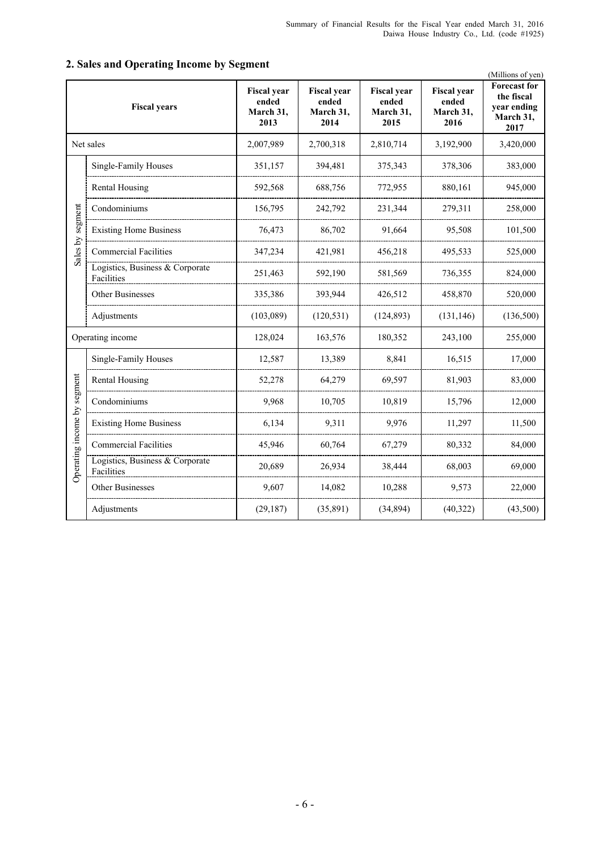|                             |                                               |                                                  |                                                  |                                                  |                                                  | (Millions of yen)                                                     |
|-----------------------------|-----------------------------------------------|--------------------------------------------------|--------------------------------------------------|--------------------------------------------------|--------------------------------------------------|-----------------------------------------------------------------------|
|                             | <b>Fiscal years</b>                           | <b>Fiscal</b> year<br>ended<br>March 31,<br>2013 | <b>Fiscal year</b><br>ended<br>March 31,<br>2014 | <b>Fiscal</b> year<br>ended<br>March 31,<br>2015 | <b>Fiscal year</b><br>ended<br>March 31,<br>2016 | <b>Forecast for</b><br>the fiscal<br>year ending<br>March 31,<br>2017 |
|                             | Net sales                                     | 2,007,989                                        | 2,700,318                                        | 2,810,714                                        | 3,192,900                                        | 3,420,000                                                             |
|                             | Single-Family Houses                          | 351,157                                          | 394,481                                          | 375,343                                          | 378,306                                          | 383,000                                                               |
|                             | Rental Housing                                | 592,568                                          | 688,756                                          | 772,955                                          | 880,161                                          | 945,000                                                               |
|                             | Condominiums                                  | 156,795                                          | 242,792                                          | 231,344                                          | 279,311                                          | 258,000                                                               |
| segment                     | <b>Existing Home Business</b>                 | 76,473                                           | 86,702                                           | 91,664                                           | 95,508                                           | 101,500                                                               |
| Sales by                    | <b>Commercial Facilities</b>                  | 347,234                                          | 421,981                                          | 456,218                                          | 495,533                                          | 525,000                                                               |
|                             | Logistics, Business & Corporate<br>Facilities | 251,463                                          | 592,190                                          | 581,569                                          | 736,355                                          | 824,000                                                               |
|                             | Other Businesses                              | 335,386                                          | 393,944                                          | 426,512                                          | 458,870                                          | 520,000                                                               |
|                             | Adjustments                                   | (103,089)                                        | (120, 531)                                       | (124, 893)                                       | (131, 146)                                       | (136,500)                                                             |
|                             | Operating income                              | 128,024                                          | 163,576                                          | 180,352                                          | 243,100                                          | 255,000                                                               |
|                             | Single-Family Houses                          | 12,587                                           | 13,389                                           | 8,841                                            | 16,515                                           | 17,000                                                                |
|                             | Rental Housing                                | 52,278                                           | 64,279                                           | 69,597                                           | 81,903                                           | 83,000                                                                |
|                             | Condominiums                                  | 9,968                                            | 10,705                                           | 10,819                                           | 15,796                                           | 12,000                                                                |
|                             | <b>Existing Home Business</b>                 | 6,134                                            | 9,311                                            | 9,976                                            | 11,297                                           | 11,500                                                                |
|                             | <b>Commercial Facilities</b>                  | 45,946                                           | 60,764                                           | 67,279                                           | 80,332                                           | 84,000                                                                |
| Operating income by segment | Logistics, Business & Corporate<br>Facilities | 20,689                                           | 26,934                                           | 38,444                                           | 68,003                                           | 69,000                                                                |
|                             | Other Businesses                              | 9,607                                            | 14,082                                           | 10,288                                           | 9,573                                            | 22,000                                                                |
|                             | Adjustments                                   | (29, 187)                                        | (35, 891)                                        | (34, 894)                                        | (40, 322)                                        | (43,500)                                                              |

## **2. Sales and Operating Income by Segment**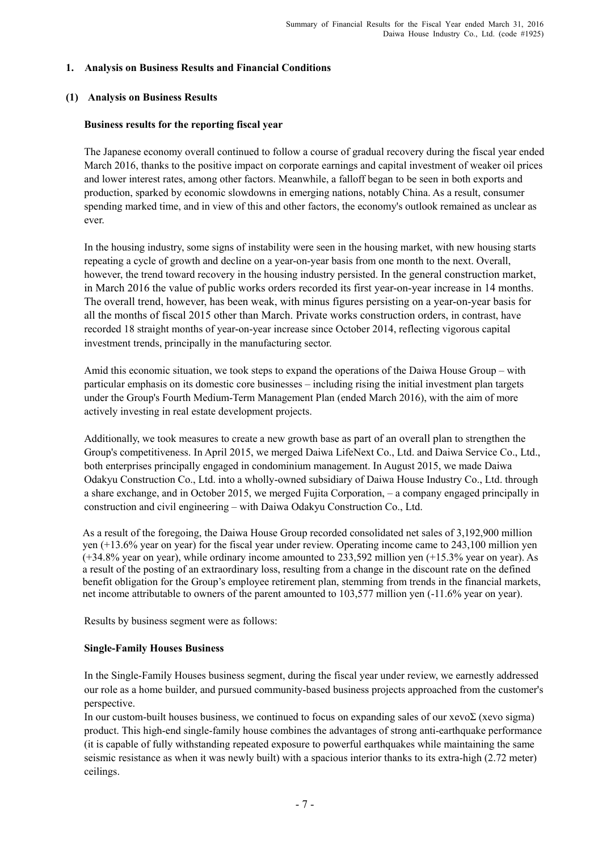#### **1. Analysis on Business Results and Financial Conditions**

#### **(1) Analysis on Business Results**

#### **Business results for the reporting fiscal year**

The Japanese economy overall continued to follow a course of gradual recovery during the fiscal year ended March 2016, thanks to the positive impact on corporate earnings and capital investment of weaker oil prices and lower interest rates, among other factors. Meanwhile, a falloff began to be seen in both exports and production, sparked by economic slowdowns in emerging nations, notably China. As a result, consumer spending marked time, and in view of this and other factors, the economy's outlook remained as unclear as ever.

In the housing industry, some signs of instability were seen in the housing market, with new housing starts repeating a cycle of growth and decline on a year-on-year basis from one month to the next. Overall, however, the trend toward recovery in the housing industry persisted. In the general construction market, in March 2016 the value of public works orders recorded its first year-on-year increase in 14 months. The overall trend, however, has been weak, with minus figures persisting on a year-on-year basis for all the months of fiscal 2015 other than March. Private works construction orders, in contrast, have recorded 18 straight months of year-on-year increase since October 2014, reflecting vigorous capital investment trends, principally in the manufacturing sector.

Amid this economic situation, we took steps to expand the operations of the Daiwa House Group – with particular emphasis on its domestic core businesses – including rising the initial investment plan targets under the Group's Fourth Medium-Term Management Plan (ended March 2016), with the aim of more actively investing in real estate development projects.

Additionally, we took measures to create a new growth base as part of an overall plan to strengthen the Group's competitiveness. In April 2015, we merged Daiwa LifeNext Co., Ltd. and Daiwa Service Co., Ltd., both enterprises principally engaged in condominium management. In August 2015, we made Daiwa Odakyu Construction Co., Ltd. into a wholly-owned subsidiary of Daiwa House Industry Co., Ltd. through a share exchange, and in October 2015, we merged Fujita Corporation, – a company engaged principally in construction and civil engineering – with Daiwa Odakyu Construction Co., Ltd.

As a result of the foregoing, the Daiwa House Group recorded consolidated net sales of 3,192,900 million yen (+13.6% year on year) for the fiscal year under review. Operating income came to 243,100 million yen (+34.8% year on year), while ordinary income amounted to 233,592 million yen (+15.3% year on year). As a result of the posting of an extraordinary loss, resulting from a change in the discount rate on the defined benefit obligation for the Group's employee retirement plan, stemming from trends in the financial markets, net income attributable to owners of the parent amounted to 103,577 million yen (-11.6% year on year).

Results by business segment were as follows:

#### **Single-Family Houses Business**

In the Single-Family Houses business segment, during the fiscal year under review, we earnestly addressed our role as a home builder, and pursued community-based business projects approached from the customer's perspective.

In our custom-built houses business, we continued to focus on expanding sales of our xevoΣ (xevo sigma) product. This high-end single-family house combines the advantages of strong anti-earthquake performance (it is capable of fully withstanding repeated exposure to powerful earthquakes while maintaining the same seismic resistance as when it was newly built) with a spacious interior thanks to its extra-high (2.72 meter) ceilings.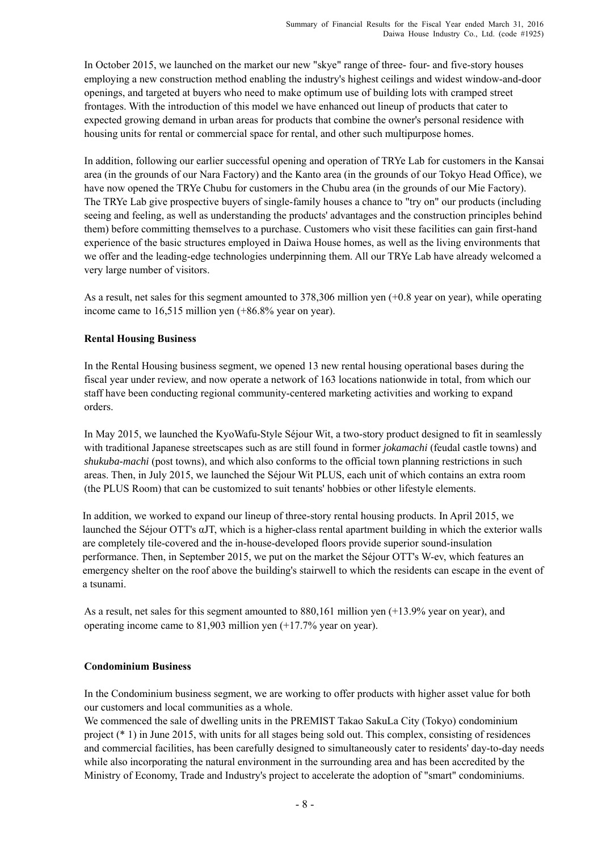In October 2015, we launched on the market our new "skye" range of three- four- and five-story houses employing a new construction method enabling the industry's highest ceilings and widest window-and-door openings, and targeted at buyers who need to make optimum use of building lots with cramped street frontages. With the introduction of this model we have enhanced out lineup of products that cater to expected growing demand in urban areas for products that combine the owner's personal residence with housing units for rental or commercial space for rental, and other such multipurpose homes.

In addition, following our earlier successful opening and operation of TRYe Lab for customers in the Kansai area (in the grounds of our Nara Factory) and the Kanto area (in the grounds of our Tokyo Head Office), we have now opened the TRYe Chubu for customers in the Chubu area (in the grounds of our Mie Factory). The TRYe Lab give prospective buyers of single-family houses a chance to "try on" our products (including seeing and feeling, as well as understanding the products' advantages and the construction principles behind them) before committing themselves to a purchase. Customers who visit these facilities can gain first-hand experience of the basic structures employed in Daiwa House homes, as well as the living environments that we offer and the leading-edge technologies underpinning them. All our TRYe Lab have already welcomed a very large number of visitors.

As a result, net sales for this segment amounted to 378,306 million yen (+0.8 year on year), while operating income came to 16,515 million yen (+86.8% year on year).

#### **Rental Housing Business**

In the Rental Housing business segment, we opened 13 new rental housing operational bases during the fiscal year under review, and now operate a network of 163 locations nationwide in total, from which our staff have been conducting regional community-centered marketing activities and working to expand orders.

In May 2015, we launched the KyoWafu-Style Séjour Wit, a two-story product designed to fit in seamlessly with traditional Japanese streetscapes such as are still found in former *jokamachi* (feudal castle towns) and *shukuba-machi* (post towns), and which also conforms to the official town planning restrictions in such areas. Then, in July 2015, we launched the Séjour Wit PLUS, each unit of which contains an extra room (the PLUS Room) that can be customized to suit tenants' hobbies or other lifestyle elements.

In addition, we worked to expand our lineup of three-story rental housing products. In April 2015, we launched the Séjour OTT's αJT, which is a higher-class rental apartment building in which the exterior walls are completely tile-covered and the in-house-developed floors provide superior sound-insulation performance. Then, in September 2015, we put on the market the Séjour OTT's W-ev, which features an emergency shelter on the roof above the building's stairwell to which the residents can escape in the event of a tsunami.

As a result, net sales for this segment amounted to 880,161 million yen (+13.9% year on year), and operating income came to 81,903 million yen (+17.7% year on year).

### **Condominium Business**

In the Condominium business segment, we are working to offer products with higher asset value for both our customers and local communities as a whole.

We commenced the sale of dwelling units in the PREMIST Takao SakuLa City (Tokyo) condominium project (\* 1) in June 2015, with units for all stages being sold out. This complex, consisting of residences and commercial facilities, has been carefully designed to simultaneously cater to residents' day-to-day needs while also incorporating the natural environment in the surrounding area and has been accredited by the Ministry of Economy, Trade and Industry's project to accelerate the adoption of "smart" condominiums.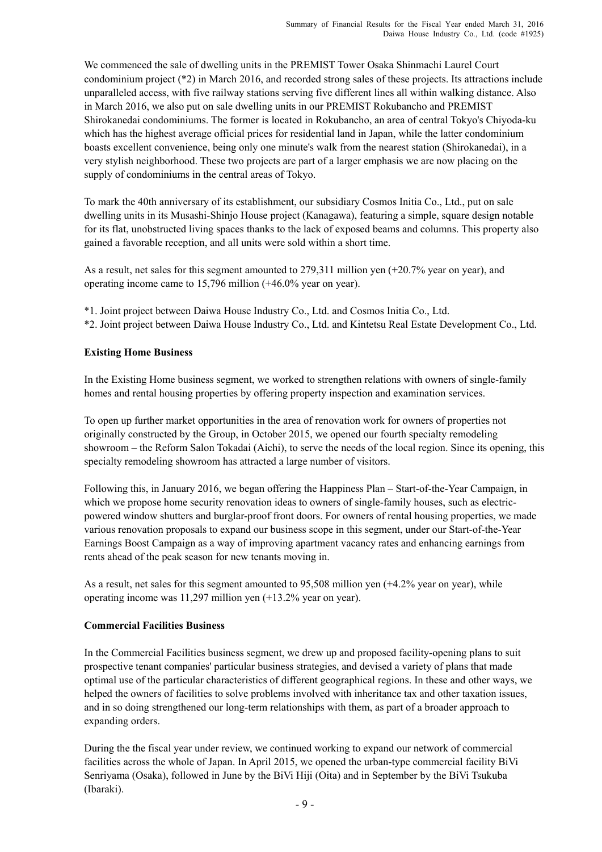We commenced the sale of dwelling units in the PREMIST Tower Osaka Shinmachi Laurel Court condominium project (\*2) in March 2016, and recorded strong sales of these projects. Its attractions include unparalleled access, with five railway stations serving five different lines all within walking distance. Also in March 2016, we also put on sale dwelling units in our PREMIST Rokubancho and PREMIST Shirokanedai condominiums. The former is located in Rokubancho, an area of central Tokyo's Chiyoda-ku which has the highest average official prices for residential land in Japan, while the latter condominium boasts excellent convenience, being only one minute's walk from the nearest station (Shirokanedai), in a very stylish neighborhood. These two projects are part of a larger emphasis we are now placing on the supply of condominiums in the central areas of Tokyo.

To mark the 40th anniversary of its establishment, our subsidiary Cosmos Initia Co., Ltd., put on sale dwelling units in its Musashi-Shinjo House project (Kanagawa), featuring a simple, square design notable for its flat, unobstructed living spaces thanks to the lack of exposed beams and columns. This property also gained a favorable reception, and all units were sold within a short time.

As a result, net sales for this segment amounted to 279,311 million yen (+20.7% year on year), and operating income came to 15,796 million (+46.0% year on year).

- \*1. Joint project between Daiwa House Industry Co., Ltd. and Cosmos Initia Co., Ltd.
- \*2. Joint project between Daiwa House Industry Co., Ltd. and Kintetsu Real Estate Development Co., Ltd.

#### **Existing Home Business**

In the Existing Home business segment, we worked to strengthen relations with owners of single-family homes and rental housing properties by offering property inspection and examination services.

To open up further market opportunities in the area of renovation work for owners of properties not originally constructed by the Group, in October 2015, we opened our fourth specialty remodeling showroom – the Reform Salon Tokadai (Aichi), to serve the needs of the local region. Since its opening, this specialty remodeling showroom has attracted a large number of visitors.

Following this, in January 2016, we began offering the Happiness Plan – Start-of-the-Year Campaign, in which we propose home security renovation ideas to owners of single-family houses, such as electricpowered window shutters and burglar-proof front doors. For owners of rental housing properties, we made various renovation proposals to expand our business scope in this segment, under our Start-of-the-Year Earnings Boost Campaign as a way of improving apartment vacancy rates and enhancing earnings from rents ahead of the peak season for new tenants moving in.

As a result, net sales for this segment amounted to 95,508 million yen (+4.2% year on year), while operating income was 11,297 million yen (+13.2% year on year).

#### **Commercial Facilities Business**

In the Commercial Facilities business segment, we drew up and proposed facility-opening plans to suit prospective tenant companies' particular business strategies, and devised a variety of plans that made optimal use of the particular characteristics of different geographical regions. In these and other ways, we helped the owners of facilities to solve problems involved with inheritance tax and other taxation issues, and in so doing strengthened our long-term relationships with them, as part of a broader approach to expanding orders.

During the the fiscal year under review, we continued working to expand our network of commercial facilities across the whole of Japan. In April 2015, we opened the urban-type commercial facility BiVi Senriyama (Osaka), followed in June by the BiVi Hiji (Oita) and in September by the BiVi Tsukuba (Ibaraki).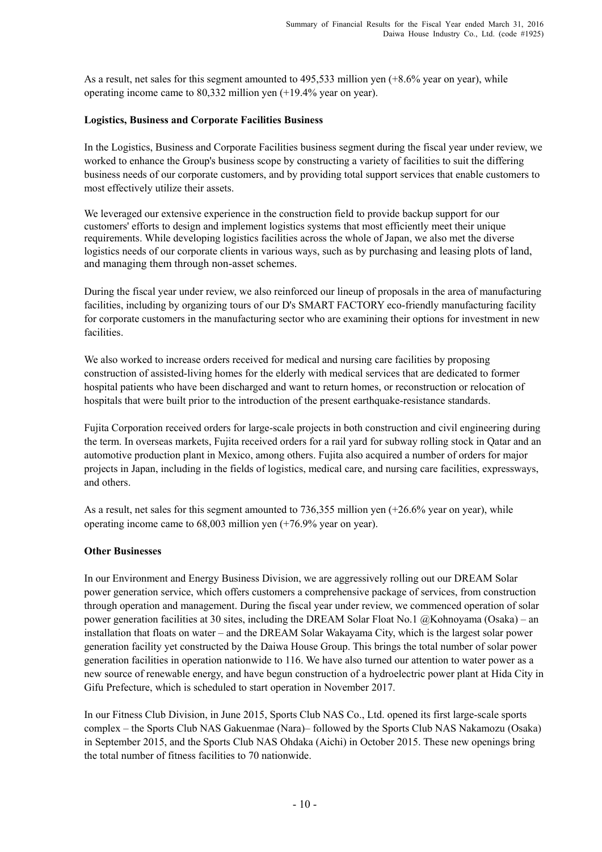As a result, net sales for this segment amounted to 495,533 million yen (+8.6% year on year), while operating income came to 80,332 million yen (+19.4% year on year).

#### **Logistics, Business and Corporate Facilities Business**

In the Logistics, Business and Corporate Facilities business segment during the fiscal year under review, we worked to enhance the Group's business scope by constructing a variety of facilities to suit the differing business needs of our corporate customers, and by providing total support services that enable customers to most effectively utilize their assets.

We leveraged our extensive experience in the construction field to provide backup support for our customers' efforts to design and implement logistics systems that most efficiently meet their unique requirements. While developing logistics facilities across the whole of Japan, we also met the diverse logistics needs of our corporate clients in various ways, such as by purchasing and leasing plots of land, and managing them through non-asset schemes.

During the fiscal year under review, we also reinforced our lineup of proposals in the area of manufacturing facilities, including by organizing tours of our D's SMART FACTORY eco-friendly manufacturing facility for corporate customers in the manufacturing sector who are examining their options for investment in new facilities.

We also worked to increase orders received for medical and nursing care facilities by proposing construction of assisted-living homes for the elderly with medical services that are dedicated to former hospital patients who have been discharged and want to return homes, or reconstruction or relocation of hospitals that were built prior to the introduction of the present earthquake-resistance standards.

Fujita Corporation received orders for large-scale projects in both construction and civil engineering during the term. In overseas markets, Fujita received orders for a rail yard for subway rolling stock in Qatar and an automotive production plant in Mexico, among others. Fujita also acquired a number of orders for major projects in Japan, including in the fields of logistics, medical care, and nursing care facilities, expressways, and others.

As a result, net sales for this segment amounted to 736,355 million yen (+26.6% year on year), while operating income came to 68,003 million yen (+76.9% year on year).

#### **Other Businesses**

In our Environment and Energy Business Division, we are aggressively rolling out our DREAM Solar power generation service, which offers customers a comprehensive package of services, from construction through operation and management. During the fiscal year under review, we commenced operation of solar power generation facilities at 30 sites, including the DREAM Solar Float No.1 @Kohnoyama (Osaka) – an installation that floats on water – and the DREAM Solar Wakayama City, which is the largest solar power generation facility yet constructed by the Daiwa House Group. This brings the total number of solar power generation facilities in operation nationwide to 116. We have also turned our attention to water power as a new source of renewable energy, and have begun construction of a hydroelectric power plant at Hida City in Gifu Prefecture, which is scheduled to start operation in November 2017.

In our Fitness Club Division, in June 2015, Sports Club NAS Co., Ltd. opened its first large-scale sports complex – the Sports Club NAS Gakuenmae (Nara)– followed by the Sports Club NAS Nakamozu (Osaka) in September 2015, and the Sports Club NAS Ohdaka (Aichi) in October 2015. These new openings bring the total number of fitness facilities to 70 nationwide.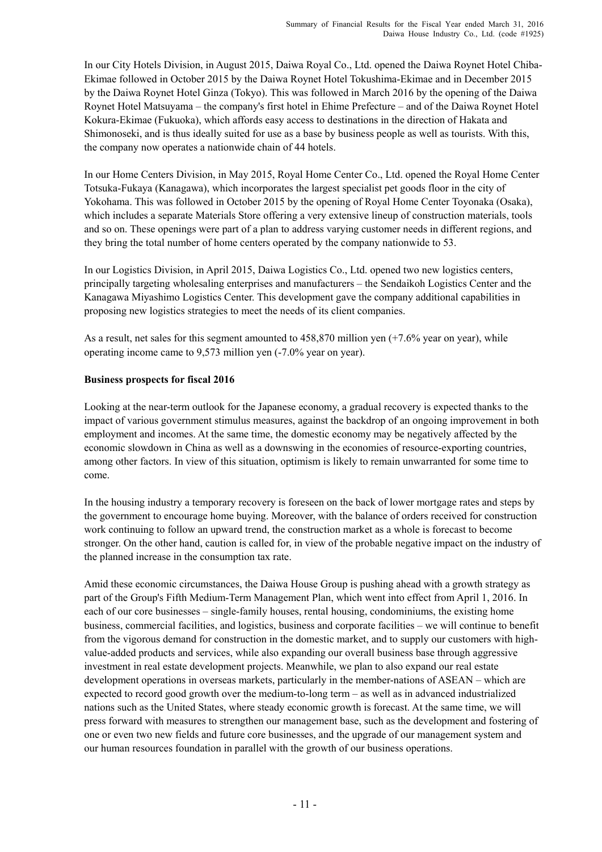In our City Hotels Division, in August 2015, Daiwa Royal Co., Ltd. opened the Daiwa Roynet Hotel Chiba-Ekimae followed in October 2015 by the Daiwa Roynet Hotel Tokushima-Ekimae and in December 2015 by the Daiwa Roynet Hotel Ginza (Tokyo). This was followed in March 2016 by the opening of the Daiwa Roynet Hotel Matsuyama – the company's first hotel in Ehime Prefecture – and of the Daiwa Roynet Hotel Kokura-Ekimae (Fukuoka), which affords easy access to destinations in the direction of Hakata and Shimonoseki, and is thus ideally suited for use as a base by business people as well as tourists. With this, the company now operates a nationwide chain of 44 hotels.

In our Home Centers Division, in May 2015, Royal Home Center Co., Ltd. opened the Royal Home Center Totsuka-Fukaya (Kanagawa), which incorporates the largest specialist pet goods floor in the city of Yokohama. This was followed in October 2015 by the opening of Royal Home Center Toyonaka (Osaka), which includes a separate Materials Store offering a very extensive lineup of construction materials, tools and so on. These openings were part of a plan to address varying customer needs in different regions, and they bring the total number of home centers operated by the company nationwide to 53.

In our Logistics Division, in April 2015, Daiwa Logistics Co., Ltd. opened two new logistics centers, principally targeting wholesaling enterprises and manufacturers – the Sendaikoh Logistics Center and the Kanagawa Miyashimo Logistics Center. This development gave the company additional capabilities in proposing new logistics strategies to meet the needs of its client companies.

As a result, net sales for this segment amounted to 458,870 million yen (+7.6% year on year), while operating income came to 9,573 million yen (-7.0% year on year).

#### **Business prospects for fiscal 2016**

Looking at the near-term outlook for the Japanese economy, a gradual recovery is expected thanks to the impact of various government stimulus measures, against the backdrop of an ongoing improvement in both employment and incomes. At the same time, the domestic economy may be negatively affected by the economic slowdown in China as well as a downswing in the economies of resource-exporting countries, among other factors. In view of this situation, optimism is likely to remain unwarranted for some time to come.

In the housing industry a temporary recovery is foreseen on the back of lower mortgage rates and steps by the government to encourage home buying. Moreover, with the balance of orders received for construction work continuing to follow an upward trend, the construction market as a whole is forecast to become stronger. On the other hand, caution is called for, in view of the probable negative impact on the industry of the planned increase in the consumption tax rate.

Amid these economic circumstances, the Daiwa House Group is pushing ahead with a growth strategy as part of the Group's Fifth Medium-Term Management Plan, which went into effect from April 1, 2016. In each of our core businesses – single-family houses, rental housing, condominiums, the existing home business, commercial facilities, and logistics, business and corporate facilities – we will continue to benefit from the vigorous demand for construction in the domestic market, and to supply our customers with highvalue-added products and services, while also expanding our overall business base through aggressive investment in real estate development projects. Meanwhile, we plan to also expand our real estate development operations in overseas markets, particularly in the member-nations of ASEAN – which are expected to record good growth over the medium-to-long term – as well as in advanced industrialized nations such as the United States, where steady economic growth is forecast. At the same time, we will press forward with measures to strengthen our management base, such as the development and fostering of one or even two new fields and future core businesses, and the upgrade of our management system and our human resources foundation in parallel with the growth of our business operations.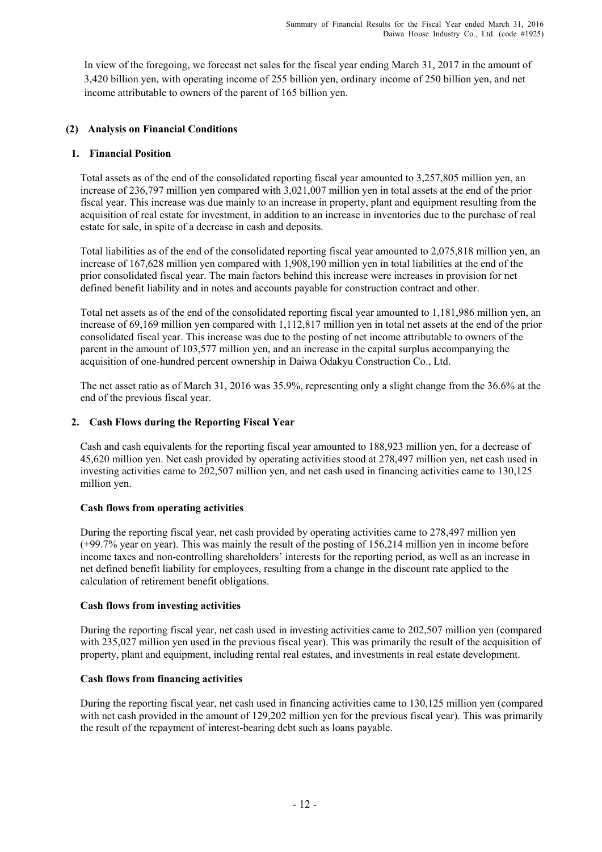In view of the foregoing, we forecast net sales for the fiscal year ending March 31, 2017 in the amount of 3,420 billion yen, with operating income of 255 billion yen, ordinary income of 250 billion yen, and net income attributable to owners of the parent of 165 billion yen.

#### **(2) Analysis on Financial Conditions**

#### **1. Financial Position**

Total assets as of the end of the consolidated reporting fiscal year amounted to 3,257,805 million yen, an increase of 236,797 million yen compared with 3,021,007 million yen in total assets at the end of the prior fiscal year. This increase was due mainly to an increase in property, plant and equipment resulting from the acquisition of real estate for investment, in addition to an increase in inventories due to the purchase of real estate for sale, in spite of a decrease in cash and deposits.

Total liabilities as of the end of the consolidated reporting fiscal year amounted to 2,075,818 million yen, an increase of 167,628 million yen compared with 1,908,190 million yen in total liabilities at the end of the prior consolidated fiscal year. The main factors behind this increase were increases in provision for net defined benefit liability and in notes and accounts payable for construction contract and other.

Total net assets as of the end of the consolidated reporting fiscal year amounted to 1,181,986 million yen, an increase of 69,169 million yen compared with 1,112,817 million yen in total net assets at the end of the prior consolidated fiscal year. This increase was due to the posting of net income attributable to owners of the parent in the amount of 103,577 million yen, and an increase in the capital surplus accompanying the acquisition of one-hundred percent ownership in Daiwa Odakyu Construction Co., Ltd.

The net asset ratio as of March 31, 2016 was 35.9%, representing only a slight change from the 36.6% at the end of the previous fiscal year.

#### **2. Cash Flows during the Reporting Fiscal Year**

Cash and cash equivalents for the reporting fiscal year amounted to 188,923 million yen, for a decrease of 45,620 million yen. Net cash provided by operating activities stood at 278,497 million yen, net cash used in investing activities came to 202,507 million yen, and net cash used in financing activities came to 130,125 million yen.

#### **Cash flows from operating activities**

During the reporting fiscal year, net cash provided by operating activities came to 278,497 million yen (+99.7% year on year). This was mainly the result of the posting of 156,214 million yen in income before income taxes and non-controlling shareholders' interests for the reporting period, as well as an increase in net defined benefit liability for employees, resulting from a change in the discount rate applied to the calculation of retirement benefit obligations.

#### **Cash flows from investing activities**

During the reporting fiscal year, net cash used in investing activities came to 202,507 million yen (compared with 235,027 million yen used in the previous fiscal year). This was primarily the result of the acquisition of property, plant and equipment, including rental real estates, and investments in real estate development.

#### **Cash flows from financing activities**

During the reporting fiscal year, net cash used in financing activities came to 130,125 million yen (compared with net cash provided in the amount of 129,202 million yen for the previous fiscal year). This was primarily the result of the repayment of interest-bearing debt such as loans payable.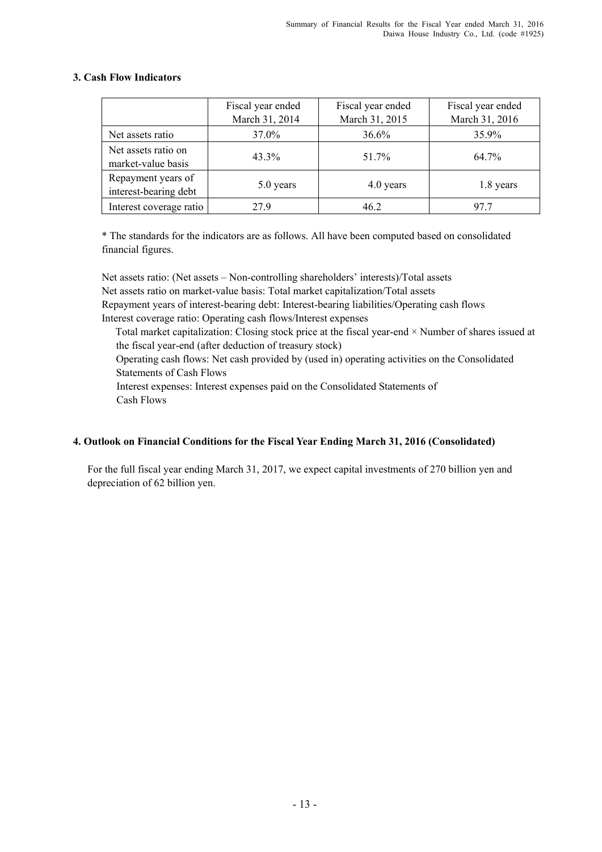|                                             | Fiscal year ended<br>March 31, 2014 | Fiscal year ended<br>March 31, 2015 | Fiscal year ended<br>March 31, 2016 |
|---------------------------------------------|-------------------------------------|-------------------------------------|-------------------------------------|
| Net assets ratio                            | 37.0%                               | 36.6%                               | 35.9%                               |
| Net assets ratio on<br>market-value basis   | 43.3%                               | 51.7%                               | 64.7%                               |
| Repayment years of<br>interest-bearing debt | 5.0 years                           | 4.0 years                           | 1.8 years                           |
| Interest coverage ratio                     | 279                                 | 46.2                                | 97 7                                |

### **3. Cash Flow Indicators**

\* The standards for the indicators are as follows. All have been computed based on consolidated financial figures.

Net assets ratio: (Net assets – Non-controlling shareholders' interests)/Total assets Net assets ratio on market-value basis: Total market capitalization/Total assets Repayment years of interest-bearing debt: Interest-bearing liabilities/Operating cash flows Interest coverage ratio: Operating cash flows/Interest expenses

Total market capitalization: Closing stock price at the fiscal year-end × Number of shares issued at the fiscal year-end (after deduction of treasury stock)

Operating cash flows: Net cash provided by (used in) operating activities on the Consolidated Statements of Cash Flows

Interest expenses: Interest expenses paid on the Consolidated Statements of Cash Flows

### **4. Outlook on Financial Conditions for the Fiscal Year Ending March 31, 2016 (Consolidated)**

For the full fiscal year ending March 31, 2017, we expect capital investments of 270 billion yen and depreciation of 62 billion yen.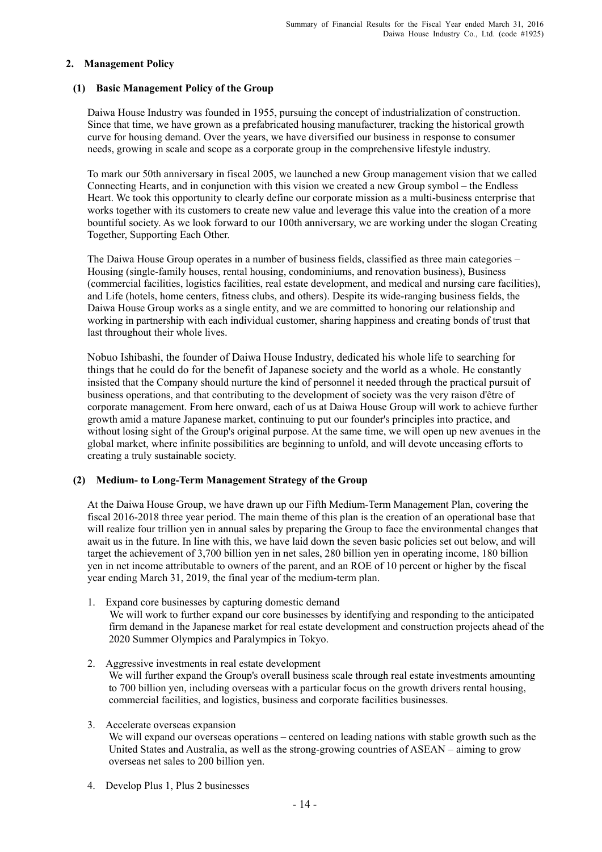#### **2. Management Policy**

#### **(1) Basic Management Policy of the Group**

Daiwa House Industry was founded in 1955, pursuing the concept of industrialization of construction. Since that time, we have grown as a prefabricated housing manufacturer, tracking the historical growth curve for housing demand. Over the years, we have diversified our business in response to consumer needs, growing in scale and scope as a corporate group in the comprehensive lifestyle industry.

To mark our 50th anniversary in fiscal 2005, we launched a new Group management vision that we called Connecting Hearts, and in conjunction with this vision we created a new Group symbol – the Endless Heart. We took this opportunity to clearly define our corporate mission as a multi-business enterprise that works together with its customers to create new value and leverage this value into the creation of a more bountiful society. As we look forward to our 100th anniversary, we are working under the slogan Creating Together, Supporting Each Other.

The Daiwa House Group operates in a number of business fields, classified as three main categories – Housing (single-family houses, rental housing, condominiums, and renovation business), Business (commercial facilities, logistics facilities, real estate development, and medical and nursing care facilities), and Life (hotels, home centers, fitness clubs, and others). Despite its wide-ranging business fields, the Daiwa House Group works as a single entity, and we are committed to honoring our relationship and working in partnership with each individual customer, sharing happiness and creating bonds of trust that last throughout their whole lives.

Nobuo Ishibashi, the founder of Daiwa House Industry, dedicated his whole life to searching for things that he could do for the benefit of Japanese society and the world as a whole. He constantly insisted that the Company should nurture the kind of personnel it needed through the practical pursuit of business operations, and that contributing to the development of society was the very raison d'être of corporate management. From here onward, each of us at Daiwa House Group will work to achieve further growth amid a mature Japanese market, continuing to put our founder's principles into practice, and without losing sight of the Group's original purpose. At the same time, we will open up new avenues in the global market, where infinite possibilities are beginning to unfold, and will devote unceasing efforts to creating a truly sustainable society.

#### **(2) Medium- to Long-Term Management Strategy of the Group**

At the Daiwa House Group, we have drawn up our Fifth Medium-Term Management Plan, covering the fiscal 2016-2018 three year period. The main theme of this plan is the creation of an operational base that will realize four trillion yen in annual sales by preparing the Group to face the environmental changes that await us in the future. In line with this, we have laid down the seven basic policies set out below, and will target the achievement of 3,700 billion yen in net sales, 280 billion yen in operating income, 180 billion yen in net income attributable to owners of the parent, and an ROE of 10 percent or higher by the fiscal year ending March 31, 2019, the final year of the medium-term plan.

- 1. Expand core businesses by capturing domestic demand We will work to further expand our core businesses by identifying and responding to the anticipated firm demand in the Japanese market for real estate development and construction projects ahead of the 2020 Summer Olympics and Paralympics in Tokyo.
- 2. Aggressive investments in real estate development We will further expand the Group's overall business scale through real estate investments amounting to 700 billion yen, including overseas with a particular focus on the growth drivers rental housing, commercial facilities, and logistics, business and corporate facilities businesses.
- 3. Accelerate overseas expansion We will expand our overseas operations – centered on leading nations with stable growth such as the United States and Australia, as well as the strong-growing countries of ASEAN – aiming to grow overseas net sales to 200 billion yen.
- 4. Develop Plus 1, Plus 2 businesses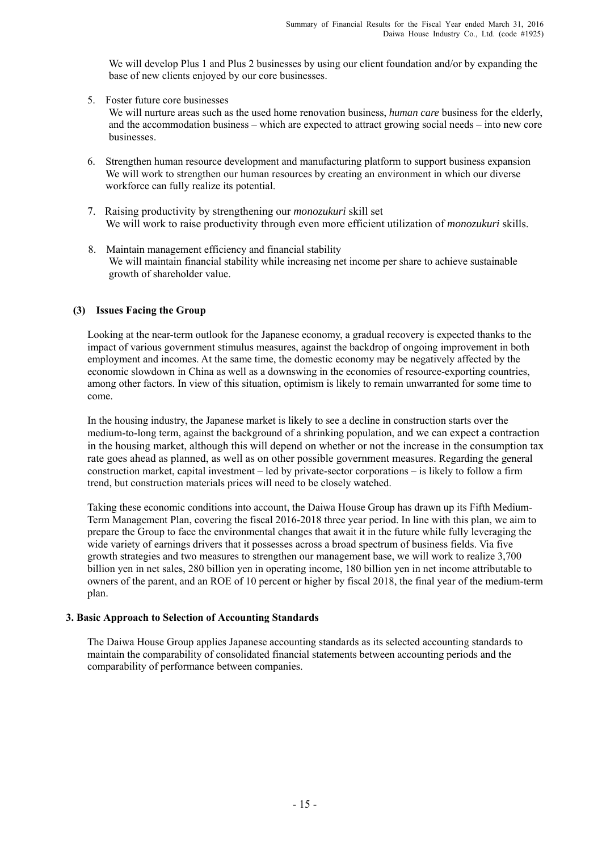We will develop Plus 1 and Plus 2 businesses by using our client foundation and/or by expanding the base of new clients enjoyed by our core businesses.

5. Foster future core businesses

We will nurture areas such as the used home renovation business, *human care* business for the elderly, and the accommodation business – which are expected to attract growing social needs – into new core businesses.

- 6. Strengthen human resource development and manufacturing platform to support business expansion We will work to strengthen our human resources by creating an environment in which our diverse workforce can fully realize its potential.
- 7. Raising productivity by strengthening our *monozukuri* skill set We will work to raise productivity through even more efficient utilization of *monozukuri* skills.
- 8. Maintain management efficiency and financial stability We will maintain financial stability while increasing net income per share to achieve sustainable growth of shareholder value.

#### **(3) Issues Facing the Group**

Looking at the near-term outlook for the Japanese economy, a gradual recovery is expected thanks to the impact of various government stimulus measures, against the backdrop of ongoing improvement in both employment and incomes. At the same time, the domestic economy may be negatively affected by the economic slowdown in China as well as a downswing in the economies of resource-exporting countries, among other factors. In view of this situation, optimism is likely to remain unwarranted for some time to come.

In the housing industry, the Japanese market is likely to see a decline in construction starts over the medium-to-long term, against the background of a shrinking population, and we can expect a contraction in the housing market, although this will depend on whether or not the increase in the consumption tax rate goes ahead as planned, as well as on other possible government measures. Regarding the general construction market, capital investment – led by private-sector corporations – is likely to follow a firm trend, but construction materials prices will need to be closely watched.

Taking these economic conditions into account, the Daiwa House Group has drawn up its Fifth Medium-Term Management Plan, covering the fiscal 2016-2018 three year period. In line with this plan, we aim to prepare the Group to face the environmental changes that await it in the future while fully leveraging the wide variety of earnings drivers that it possesses across a broad spectrum of business fields. Via five growth strategies and two measures to strengthen our management base, we will work to realize 3,700 billion yen in net sales, 280 billion yen in operating income, 180 billion yen in net income attributable to owners of the parent, and an ROE of 10 percent or higher by fiscal 2018, the final year of the medium-term plan.

#### **3. Basic Approach to Selection of Accounting Standards**

The Daiwa House Group applies Japanese accounting standards as its selected accounting standards to maintain the comparability of consolidated financial statements between accounting periods and the comparability of performance between companies.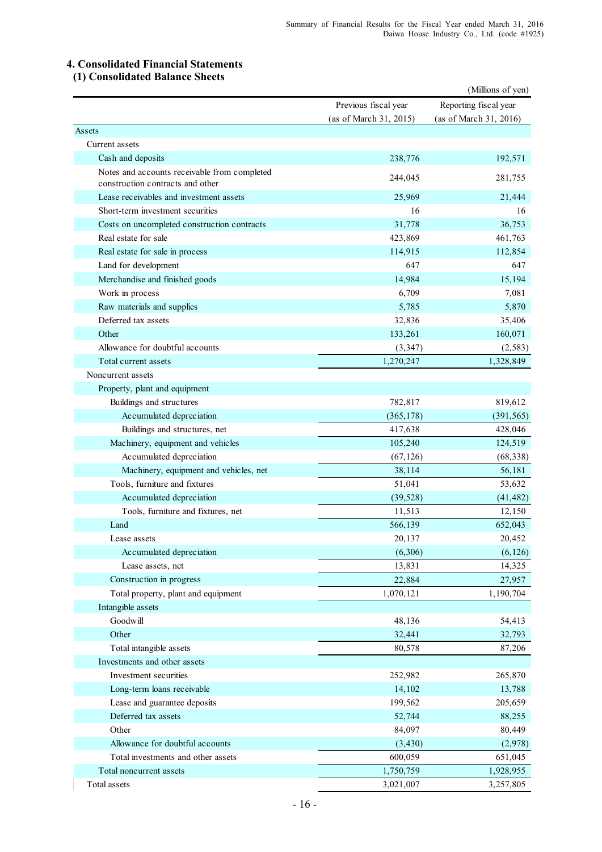## **4. Consolidated Financial Statements**

## **(1) Consolidated Balance Sheets**

|                                                                                  |                        | (Millions of yen)      |
|----------------------------------------------------------------------------------|------------------------|------------------------|
|                                                                                  | Previous fiscal year   | Reporting fiscal year  |
|                                                                                  | (as of March 31, 2015) | (as of March 31, 2016) |
| Assets                                                                           |                        |                        |
| Current assets                                                                   |                        |                        |
| Cash and deposits                                                                | 238,776                | 192,571                |
| Notes and accounts receivable from completed<br>construction contracts and other | 244,045                | 281,755                |
| Lease receivables and investment assets                                          | 25,969                 | 21,444                 |
| Short-term investment securities                                                 | 16                     | 16                     |
| Costs on uncompleted construction contracts                                      | 31,778                 | 36,753                 |
| Real estate for sale                                                             | 423,869                | 461,763                |
| Real estate for sale in process                                                  | 114,915                | 112,854                |
| Land for development                                                             | 647                    | 647                    |
| Merchandise and finished goods                                                   | 14,984                 | 15,194                 |
| Work in process                                                                  | 6,709                  | 7,081                  |
| Raw materials and supplies                                                       | 5,785                  | 5,870                  |
| Deferred tax assets                                                              | 32,836                 | 35,406                 |
| Other                                                                            | 133,261                | 160,071                |
| Allowance for doubtful accounts                                                  | (3, 347)               | (2, 583)               |
| Total current assets                                                             | 1,270,247              | 1,328,849              |
| Noncurrent assets                                                                |                        |                        |
| Property, plant and equipment                                                    |                        |                        |
| Buildings and structures                                                         | 782,817                | 819,612                |
| Accumulated depreciation                                                         | (365, 178)             | (391, 565)             |
| Buildings and structures, net                                                    | 417,638                | 428,046                |
| Machinery, equipment and vehicles                                                | 105,240                | 124,519                |
| Accumulated depreciation                                                         | (67, 126)              | (68, 338)              |
| Machinery, equipment and vehicles, net                                           | 38,114                 | 56,181                 |
| Tools, furniture and fixtures                                                    | 51,041                 | 53,632                 |
| Accumulated depreciation                                                         | (39, 528)              | (41, 482)              |
| Tools, furniture and fixtures, net                                               | 11,513                 | 12,150                 |
| Land                                                                             | 566,139                | 652,043                |
| Lease assets                                                                     | 20,137                 | 20,452                 |
| Accumulated depreciation                                                         | (6,306)                | (6, 126)               |
| Lease assets, net                                                                | 13,831                 | 14,325                 |
| Construction in progress                                                         | 22,884                 | 27,957                 |
| Total property, plant and equipment                                              | 1,070,121              | 1,190,704              |
| Intangible assets                                                                |                        |                        |
| Goodwill                                                                         | 48,136                 | 54,413                 |
| Other                                                                            |                        |                        |
|                                                                                  | 32,441                 | 32,793                 |
| Total intangible assets                                                          | 80,578                 | 87,206                 |
| Investments and other assets                                                     |                        |                        |
| Investment securities                                                            | 252,982                | 265,870                |
| Long-term loans receivable                                                       | 14,102                 | 13,788                 |
| Lease and guarantee deposits                                                     | 199,562                | 205,659                |
| Deferred tax assets                                                              | 52,744                 | 88,255                 |
| Other                                                                            | 84,097                 | 80,449                 |
| Allowance for doubtful accounts                                                  | (3, 430)               | (2,978)                |
| Total investments and other assets                                               | 600,059                | 651,045                |
| Total noncurrent assets                                                          | 1,750,759              | 1,928,955              |
| Total assets                                                                     | 3,021,007              | 3,257,805              |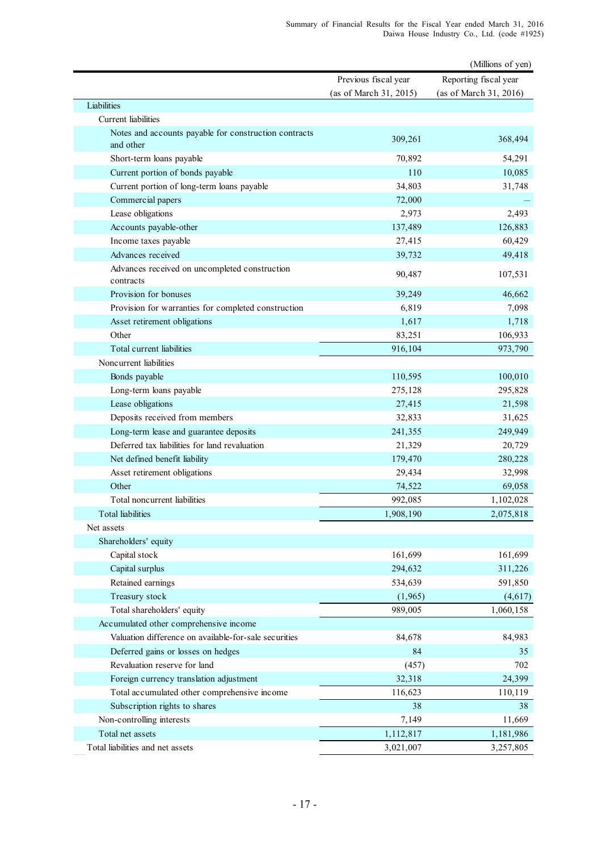|                                                                    |                        | (Millions of yen)      |
|--------------------------------------------------------------------|------------------------|------------------------|
|                                                                    | Previous fiscal year   | Reporting fiscal year  |
|                                                                    | (as of March 31, 2015) | (as of March 31, 2016) |
| Liabilities                                                        |                        |                        |
| Current liabilities                                                |                        |                        |
| Notes and accounts payable for construction contracts<br>and other | 309,261                | 368,494                |
| Short-term loans payable                                           | 70,892                 | 54,291                 |
| Current portion of bonds payable                                   | 110                    | 10,085                 |
| Current portion of long-term loans payable                         | 34,803                 | 31,748                 |
| Commercial papers                                                  | 72,000                 |                        |
| Lease obligations                                                  | 2,973                  | 2,493                  |
| Accounts payable-other                                             | 137,489                | 126,883                |
| Income taxes payable                                               | 27,415                 | 60,429                 |
| Advances received                                                  | 39,732                 | 49,418                 |
| Advances received on uncompleted construction<br>contracts         | 90,487                 | 107,531                |
| Provision for bonuses                                              | 39,249                 | 46,662                 |
| Provision for warranties for completed construction                | 6,819                  | 7,098                  |
| Asset retirement obligations                                       | 1,617                  | 1,718                  |
| Other                                                              | 83,251                 | 106,933                |
| Total current liabilities                                          | 916,104                | 973,790                |
| Noncurrent liabilities                                             |                        |                        |
| Bonds payable                                                      | 110,595                | 100,010                |
| Long-term loans payable                                            | 275,128                | 295,828                |
| Lease obligations                                                  | 27,415                 | 21,598                 |
| Deposits received from members                                     | 32,833                 | 31,625                 |
| Long-term lease and guarantee deposits                             | 241,355                | 249,949                |
| Deferred tax liabilities for land revaluation                      | 21,329                 | 20,729                 |
| Net defined benefit liability                                      | 179,470                | 280,228                |
| Asset retirement obligations                                       | 29,434                 | 32,998                 |
| Other                                                              | 74,522                 | 69,058                 |
| Total noncurrent liabilities                                       | 992,085                | 1,102,028              |
| Total liabilities                                                  | 1,908,190              | 2,075,818              |
| Net assets                                                         |                        |                        |
| Shareholders' equity                                               |                        |                        |
| Capital stock                                                      | 161,699                | 161,699                |
| Capital surplus                                                    | 294,632                | 311,226                |
| Retained earnings                                                  | 534,639                | 591,850                |
| Treasury stock                                                     | (1,965)                | (4,617)                |
| Total shareholders' equity                                         | 989,005                | 1,060,158              |
| Accumulated other comprehensive income                             |                        |                        |
| Valuation difference on available-for-sale securities              | 84,678                 | 84,983                 |
| Deferred gains or losses on hedges                                 | 84                     | 35                     |
| Revaluation reserve for land                                       | (457)                  | 702                    |
| Foreign currency translation adjustment                            | 32,318                 | 24,399                 |
| Total accumulated other comprehensive income                       | 116,623                | 110,119                |
| Subscription rights to shares                                      | 38                     | 38                     |
| Non-controlling interests                                          | 7,149                  | 11,669                 |
| Total net assets                                                   | 1,112,817              | 1,181,986              |
| Total liabilities and net assets                                   | 3,021,007              | 3,257,805              |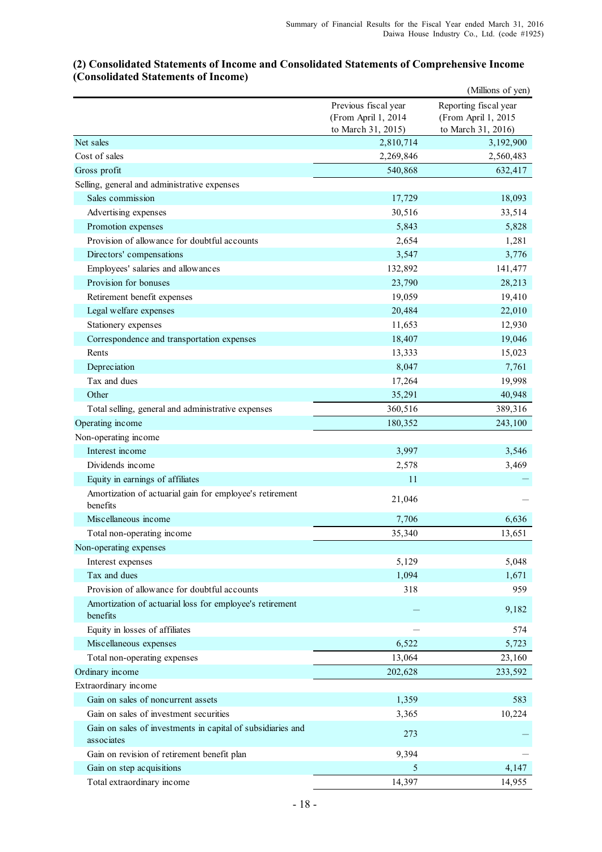#### (Millions of yen) Previous fiscal year Reporting fiscal year (From April 1, 2014 (From April 1, 2015 to March 31, 2015) to March 31, 2016) 2,810,714 3,192,900 2,269,846 2,560,483 540,868 632,417 17,729 18,093 30,516 33,514 5,843 5,828 2,654 1,281 3,547 3,776 132,892 141,477 23,790 28,213 19,059 19,410 20,484 22,010 11,653 12,930 18,407 19,046 13,333 15,023 8,047 7,761 17,264 19,998 35,291 40,948 360,516 389,316 180,352 243,100 3,997 3,546 2,578 3,469  $11$  -21,046 7,706 6,636 35,340 13,651 5,129 5,048 1,094 1,671 318 959 - 9,182  $-$  574 6,522 5,723 13,064 23,160 202,628 233,592 1,359 583 3,365 10,224 273 - 9,394 5 4,147 14,397 14,955 Gain on revision of retirement benefit plan Gain on step acquisitions Total extraordinary income Gain on sales of noncurrent assets Gain on sales of investment securities Gain on sales of investments in capital of subsidiaries and associates Miscellaneous expenses Total non-operating expenses Ordinary income Extraordinary income Non-operating expenses Interest expenses Tax and dues Provision of allowance for doubtful accounts Amortization of actuarial loss for employee's retirement benefits Equity in losses of affiliates Equity in earnings of affiliates Amortization of actuarial gain for employee's retirement benefits Miscellaneous income Total non-operating income **Other** Total selling, general and administrative expenses Operating income Non-operating income Interest income Dividends income Legal welfare expenses Stationery expenses Correspondence and transportation expenses Rents **Depreciation** Tax and dues Promotion expenses Provision of allowance for doubtful accounts Directors' compensations Employees' salaries and allowances Provision for bonuses Retirement benefit expenses Net sales Cost of sales Gross profit Selling, general and administrative expenses Sales commission Advertising expenses

#### **(2) Consolidated Statements of Income and Consolidated Statements of Comprehensive Income (Consolidated Statements of Income)**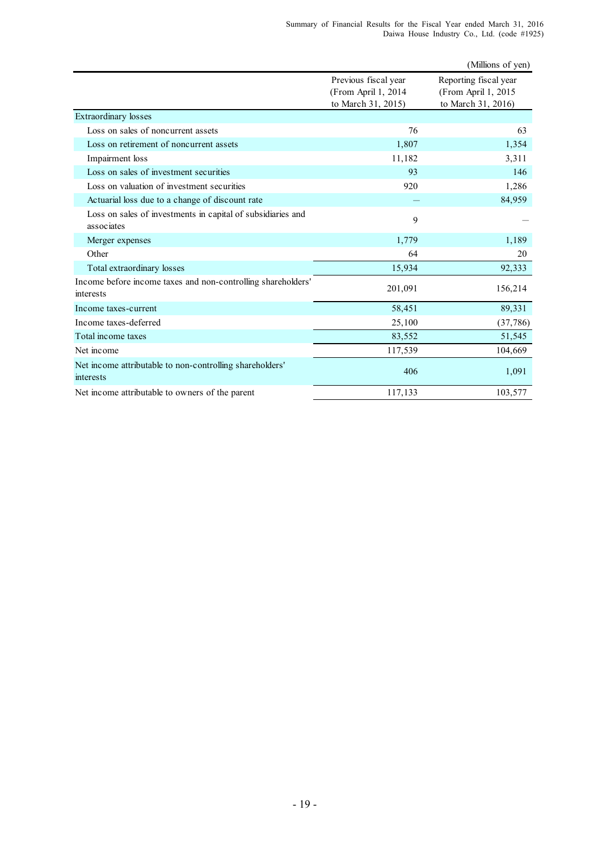|                                                                           |                                                                   | (Millions of yen)                                                  |
|---------------------------------------------------------------------------|-------------------------------------------------------------------|--------------------------------------------------------------------|
|                                                                           | Previous fiscal year<br>(From April 1, 2014<br>to March 31, 2015) | Reporting fiscal year<br>(From April 1, 2015<br>to March 31, 2016) |
| <b>Extraordinary</b> losses                                               |                                                                   |                                                                    |
| Loss on sales of noncurrent assets                                        | 76                                                                | 63                                                                 |
| Loss on retirement of noncurrent assets                                   | 1,807                                                             | 1,354                                                              |
| Impairment loss                                                           | 11,182                                                            | 3,311                                                              |
| Loss on sales of investment securities                                    | 93                                                                | 146                                                                |
| Loss on valuation of investment securities                                | 920                                                               | 1,286                                                              |
| Actuarial loss due to a change of discount rate                           |                                                                   | 84,959                                                             |
| Loss on sales of investments in capital of subsidiaries and<br>associates | 9                                                                 |                                                                    |
| Merger expenses                                                           | 1,779                                                             | 1,189                                                              |
| Other                                                                     | 64                                                                | 20                                                                 |
| Total extraordinary losses                                                | 15,934                                                            | 92,333                                                             |
| Income before income taxes and non-controlling shareholders'<br>interests | 201,091                                                           | 156,214                                                            |
| Income taxes-current                                                      | 58,451                                                            | 89,331                                                             |
| Income taxes-deferred                                                     | 25,100                                                            | (37, 786)                                                          |
| Total income taxes                                                        | 83,552                                                            | 51,545                                                             |
| Net income                                                                | 117,539                                                           | 104,669                                                            |
| Net income attributable to non-controlling shareholders'<br>interests     | 406                                                               | 1,091                                                              |
| Net income attributable to owners of the parent                           | 117,133                                                           | 103,577                                                            |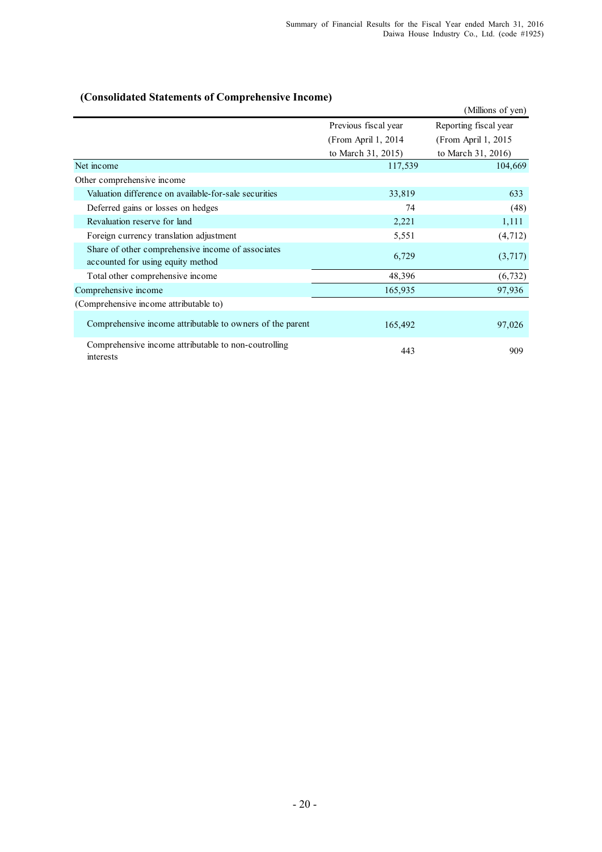#### (Millions of yen) Previous fiscal year Reporting fiscal year (From April 1, 2014 (From April 1, 2015 to March 31, 2015) to March 31, 2016) 117,539 104,669 Valuation difference on available-for-sale securities 33,819 633 Deferred gains or losses on hedges 74 (48) Revaluation reserve for land  $2,221$   $1,111$ Foreign currency translation adjustment 5,551 (4,712) 6,729 (3,717) Total other comprehensive income 48,396 (6,732) Comprehensive income 165,935 97,936 (Comprehensive income attributable to) 165,492 97,026 443 909 Net income Other comprehensive income Share of other comprehensive income of associates accounted for using equity method Comprehensive income attributable to owners of the parent Comprehensive income attributable to non-coutrolling interests

#### **(Consolidated Statements of Comprehensive Income)**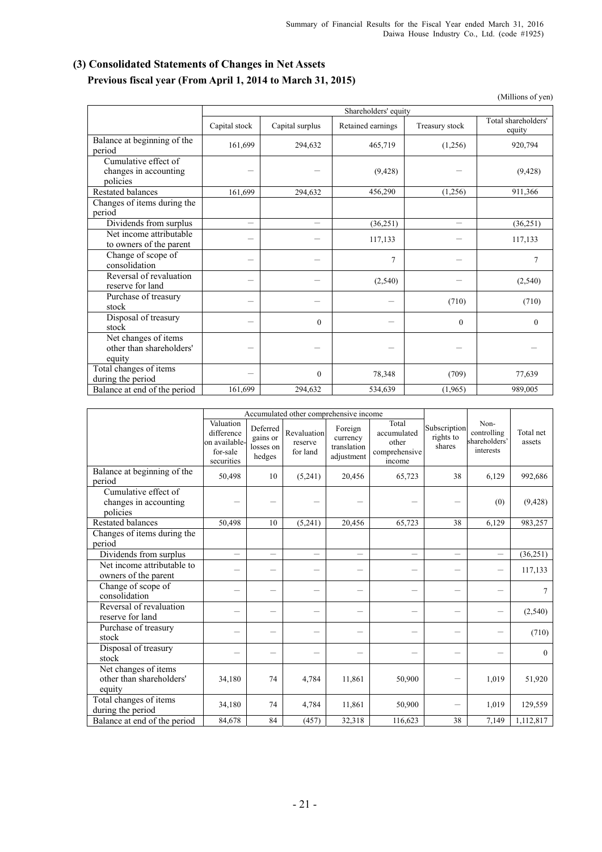## **(3) Consolidated Statements of Changes in Net Assets Previous fiscal year (From April 1, 2014 to March 31, 2015)**

(Millions of yen)

|                                                            | Shareholders' equity     |                  |                   |                          |                               |  |
|------------------------------------------------------------|--------------------------|------------------|-------------------|--------------------------|-------------------------------|--|
|                                                            | Capital stock            | Capital surplus  | Retained earnings | Treasury stock           | Total shareholders'<br>equity |  |
| Balance at beginning of the<br>period                      | 161,699                  | 294,632          | 465,719           | (1,256)                  | 920,794                       |  |
| Cumulative effect of<br>changes in accounting<br>policies  |                          |                  | (9, 428)          |                          | (9, 428)                      |  |
| Restated balances                                          | 161,699                  | 294,632          | 456,290           | (1,256)                  | 911,366                       |  |
| Changes of items during the                                |                          |                  |                   |                          |                               |  |
| period                                                     |                          |                  |                   |                          |                               |  |
| Dividends from surplus                                     | $\overline{\phantom{0}}$ |                  | (36, 251)         | $\overline{\phantom{0}}$ | (36, 251)                     |  |
| Net income attributable<br>to owners of the parent         |                          |                  | 117,133           |                          | 117,133                       |  |
| Change of scope of<br>consolidation                        |                          |                  | $\tau$            |                          | 7                             |  |
| Reversal of revaluation<br>reserve for land                |                          |                  | (2,540)           |                          | (2,540)                       |  |
| Purchase of treasury<br>stock                              |                          |                  |                   | (710)                    | (710)                         |  |
| Disposal of treasury<br>stock                              |                          | $\theta$         |                   | $\theta$                 | $\theta$                      |  |
| Net changes of items<br>other than shareholders'<br>equity |                          |                  |                   |                          |                               |  |
| Total changes of items<br>during the period                |                          | $\boldsymbol{0}$ | 78,348            | (709)                    | 77,639                        |  |
| Balance at end of the period                               | 161,699                  | 294,632          | 534,639           | (1,965)                  | 989,005                       |  |

|                                                            |                                                                    |                                             | Accumulated other comprehensive income |                                                  |                                                          |                                     |                                                   |                     |
|------------------------------------------------------------|--------------------------------------------------------------------|---------------------------------------------|----------------------------------------|--------------------------------------------------|----------------------------------------------------------|-------------------------------------|---------------------------------------------------|---------------------|
|                                                            | Valuation<br>difference<br>on available-<br>for-sale<br>securities | Deferred<br>gains or<br>losses on<br>hedges | Revaluation<br>reserve<br>for land     | Foreign<br>currency<br>translation<br>adjustment | Total<br>accumulated<br>other<br>comprehensive<br>income | Subscription<br>rights to<br>shares | Non-<br>controlling<br>shareholders'<br>interests | Total net<br>assets |
| Balance at beginning of the<br>period                      | 50,498                                                             | 10                                          | (5,241)                                | 20,456                                           | 65,723                                                   | 38                                  | 6,129                                             | 992,686             |
| Cumulative effect of<br>changes in accounting<br>policies  |                                                                    |                                             |                                        |                                                  |                                                          |                                     | (0)                                               | (9, 428)            |
| <b>Restated balances</b>                                   | 50,498                                                             | 10                                          | (5,241)                                | 20,456                                           | 65,723                                                   | 38                                  | 6,129                                             | 983,257             |
| Changes of items during the<br>period                      |                                                                    |                                             |                                        |                                                  |                                                          |                                     |                                                   |                     |
| Dividends from surplus                                     | $\overline{\phantom{0}}$                                           | $\overline{\phantom{0}}$                    |                                        | $\equiv$                                         | $\overline{\phantom{0}}$                                 | $\equiv$                            | $\overline{\phantom{m}}$                          | (36,251)            |
| Net income attributable to<br>owners of the parent         |                                                                    |                                             |                                        |                                                  |                                                          |                                     | —                                                 | 117,133             |
| Change of scope of<br>consolidation                        |                                                                    |                                             |                                        |                                                  |                                                          |                                     |                                                   | $\overline{7}$      |
| Reversal of revaluation<br>reserve for land                |                                                                    |                                             |                                        |                                                  |                                                          |                                     | $\overline{\phantom{0}}$                          | (2, 540)            |
| Purchase of treasury<br>stock                              |                                                                    |                                             |                                        |                                                  |                                                          |                                     |                                                   | (710)               |
| Disposal of treasury<br>stock                              |                                                                    |                                             |                                        |                                                  |                                                          |                                     |                                                   | $\Omega$            |
| Net changes of items<br>other than shareholders'<br>equity | 34,180                                                             | 74                                          | 4,784                                  | 11,861                                           | 50,900                                                   |                                     | 1,019                                             | 51,920              |
| Total changes of items<br>during the period                | 34,180                                                             | 74                                          | 4,784                                  | 11,861                                           | 50,900                                                   |                                     | 1,019                                             | 129,559             |
| Balance at end of the period                               | 84,678                                                             | 84                                          | (457)                                  | 32,318                                           | 116,623                                                  | 38                                  | 7,149                                             | 1,112,817           |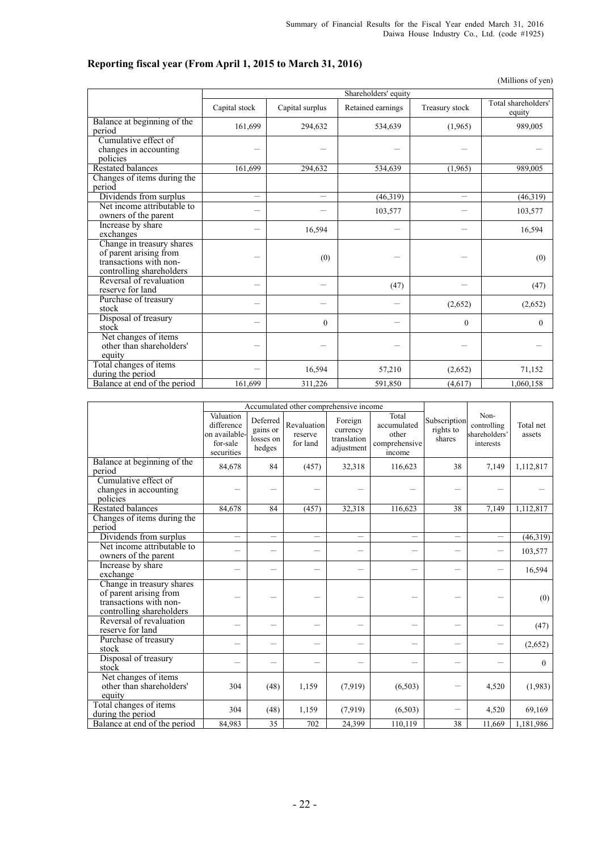## **Reporting fiscal year (From April 1, 2015 to March 31, 2016)**

(Millions of yen)

|                                                                                                           |                          | Shareholders' equity |                   |                          |                               |  |  |
|-----------------------------------------------------------------------------------------------------------|--------------------------|----------------------|-------------------|--------------------------|-------------------------------|--|--|
|                                                                                                           | Capital stock            | Capital surplus      | Retained earnings | Treasury stock           | Total shareholders'<br>equity |  |  |
| Balance at beginning of the<br>period                                                                     | 161,699                  | 294,632              | 534,639           | (1,965)                  | 989,005                       |  |  |
| Cumulative effect of<br>changes in accounting<br>policies                                                 |                          |                      |                   |                          |                               |  |  |
| <b>Restated balances</b>                                                                                  | 161.699                  | 294.632              | 534,639           | (1,965)                  | 989.005                       |  |  |
| Changes of items during the<br>period                                                                     |                          |                      |                   |                          |                               |  |  |
| Dividends from surplus                                                                                    | $\overline{\phantom{0}}$ | $\equiv$             | (46,319)          | $\overline{\phantom{0}}$ | (46,319)                      |  |  |
| Net income attributable to<br>owners of the parent                                                        |                          |                      | 103,577           |                          | 103,577                       |  |  |
| Increase by share<br>exchanges                                                                            |                          | 16,594               |                   |                          | 16,594                        |  |  |
| Change in treasury shares<br>of parent arising from<br>transactions with non-<br>controlling shareholders |                          | (0)                  |                   |                          | (0)                           |  |  |
| Reversal of revaluation<br>reserve for land                                                               |                          |                      | (47)              |                          | (47)                          |  |  |
| Purchase of treasury<br>stock                                                                             |                          |                      |                   | (2,652)                  | (2,652)                       |  |  |
| Disposal of treasury<br>stock                                                                             |                          | $\boldsymbol{0}$     |                   | $\theta$                 | $\Omega$                      |  |  |
| Net changes of items<br>other than shareholders'<br>equity                                                |                          |                      |                   |                          |                               |  |  |
| Total changes of items<br>during the period                                                               |                          | 16,594               | 57,210            | (2,652)                  | 71,152                        |  |  |
| Balance at end of the period                                                                              | 161,699                  | 311,226              | 591,850           | (4,617)                  | 1,060,158                     |  |  |

|                                                                                                           | Accumulated other comprehensive income                             |                                             |                                    |                                                  |                                                          |                                     |                                                   |                     |
|-----------------------------------------------------------------------------------------------------------|--------------------------------------------------------------------|---------------------------------------------|------------------------------------|--------------------------------------------------|----------------------------------------------------------|-------------------------------------|---------------------------------------------------|---------------------|
|                                                                                                           | Valuation<br>difference<br>on available-<br>for-sale<br>securities | Deferred<br>gains or<br>losses on<br>hedges | Revaluation<br>reserve<br>for land | Foreign<br>currency<br>translation<br>adjustment | Total<br>accumulated<br>other<br>comprehensive<br>income | Subscription<br>rights to<br>shares | Non-<br>controlling<br>shareholders'<br>interests | Total net<br>assets |
| Balance at beginning of the<br>period                                                                     | 84,678                                                             | 84                                          | (457)                              | 32,318                                           | 116,623                                                  | 38                                  | 7,149                                             | 1,112,817           |
| Cumulative effect of<br>changes in accounting<br>policies                                                 |                                                                    |                                             |                                    |                                                  |                                                          |                                     |                                                   |                     |
| <b>Restated balances</b>                                                                                  | 84,678                                                             | 84                                          | (457)                              | 32,318                                           | 116,623                                                  | 38                                  | 7,149                                             | 1,112,817           |
| Changes of items during the<br>period                                                                     |                                                                    |                                             |                                    |                                                  |                                                          |                                     |                                                   |                     |
| Dividends from surplus                                                                                    | $\equiv$                                                           | $\equiv$                                    | $\overline{\phantom{0}}$           | $\overline{\phantom{0}}$                         | $\overline{\phantom{0}}$                                 | $\overline{\phantom{0}}$            | $\overline{\phantom{0}}$                          | (46,319)            |
| Net income attributable to<br>owners of the parent                                                        |                                                                    |                                             |                                    |                                                  |                                                          | $\overline{\phantom{0}}$            | $\overline{\phantom{0}}$                          | 103,577             |
| Increase by share<br>exchange                                                                             |                                                                    |                                             |                                    |                                                  |                                                          |                                     |                                                   | 16,594              |
| Change in treasury shares<br>of parent arising from<br>transactions with non-<br>controlling shareholders |                                                                    |                                             |                                    |                                                  |                                                          |                                     |                                                   | (0)                 |
| Reversal of revaluation<br>reserve for land                                                               |                                                                    |                                             |                                    |                                                  |                                                          |                                     |                                                   | (47)                |
| Purchase of treasury<br>stock                                                                             |                                                                    | -                                           |                                    |                                                  |                                                          |                                     |                                                   | (2,652)             |
| Disposal of treasury<br>stock                                                                             |                                                                    |                                             |                                    |                                                  |                                                          |                                     |                                                   | $\mathbf{0}$        |
| Net changes of items<br>other than shareholders'<br>equity                                                | 304                                                                | (48)                                        | 1,159                              | (7,919)                                          | (6,503)                                                  |                                     | 4,520                                             | (1,983)             |
| Total changes of items<br>during the period                                                               | 304                                                                | (48)                                        | 1,159                              | (7,919)                                          | (6,503)                                                  |                                     | 4,520                                             | 69,169              |
| Balance at end of the period                                                                              | 84,983                                                             | 35                                          | 702                                | 24,399                                           | 110,119                                                  | 38                                  | 11,669                                            | 1,181,986           |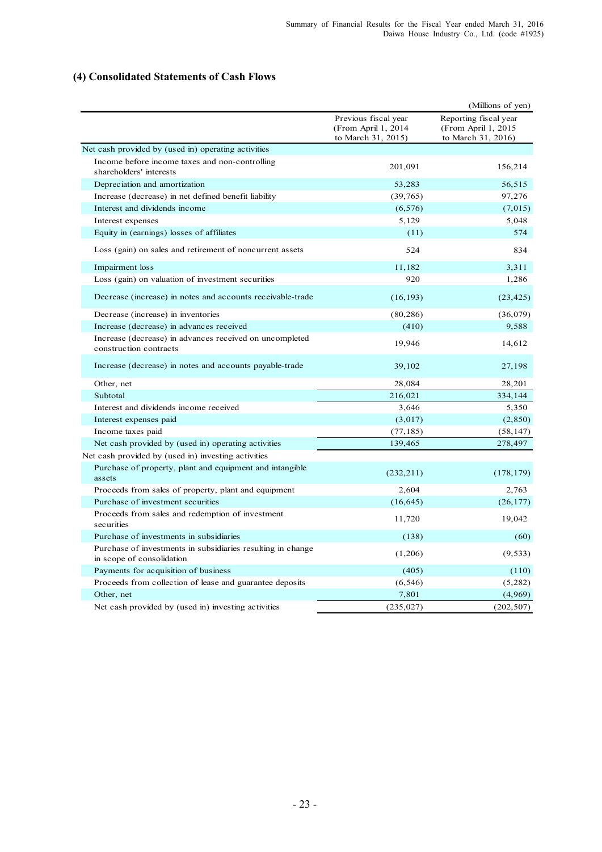#### **(4) Consolidated Statements of Cash Flows**

|                                                                                          |                                                                   | (Millions of yen)                                                   |
|------------------------------------------------------------------------------------------|-------------------------------------------------------------------|---------------------------------------------------------------------|
|                                                                                          | Previous fiscal year<br>(From April 1, 2014<br>to March 31, 2015) | Reporting fiscal year<br>(From April 1, 2015)<br>to March 31, 2016) |
| Net cash provided by (used in) operating activities                                      |                                                                   |                                                                     |
| Income before income taxes and non-controlling<br>shareholders' interests                | 201,091                                                           | 156,214                                                             |
| Depreciation and amortization                                                            | 53,283                                                            | 56,515                                                              |
| Increase (decrease) in net defined benefit liability                                     | (39, 765)                                                         | 97,276                                                              |
| Interest and dividends income                                                            | (6, 576)                                                          | (7,015)                                                             |
| Interest expenses                                                                        | 5,129                                                             | 5,048                                                               |
| Equity in (earnings) losses of affiliates                                                | (11)                                                              | 574                                                                 |
| Loss (gain) on sales and retirement of noncurrent assets                                 | 524                                                               | 834                                                                 |
| Impairment loss                                                                          | 11,182                                                            | 3,311                                                               |
| Loss (gain) on valuation of investment securities                                        | 920                                                               | 1,286                                                               |
| Decrease (increase) in notes and accounts receivable-trade                               | (16, 193)                                                         | (23, 425)                                                           |
| Decrease (increase) in inventories                                                       | (80, 286)                                                         | (36,079)                                                            |
| Increase (decrease) in advances received                                                 | (410)                                                             | 9,588                                                               |
| Increase (decrease) in advances received on uncompleted<br>construction contracts        | 19,946                                                            | 14,612                                                              |
| Increase (decrease) in notes and accounts payable-trade                                  | 39,102                                                            | 27,198                                                              |
| Other, net                                                                               | 28,084                                                            | 28,201                                                              |
| Subtotal                                                                                 | 216,021                                                           | 334,144                                                             |
| Interest and dividends income received                                                   | 3,646                                                             | 5,350                                                               |
| Interest expenses paid                                                                   | (3,017)                                                           | (2,850)                                                             |
| Income taxes paid                                                                        | (77, 185)                                                         | (58, 147)                                                           |
| Net cash provided by (used in) operating activities                                      | 139,465                                                           | 278,497                                                             |
| Net cash provided by (used in) investing activities                                      |                                                                   |                                                                     |
| Purchase of property, plant and equipment and intangible<br>assets                       | (232, 211)                                                        | (178, 179)                                                          |
| Proceeds from sales of property, plant and equipment                                     | 2,604                                                             | 2,763                                                               |
| Purchase of investment securities                                                        | (16, 645)                                                         | (26, 177)                                                           |
| Proceeds from sales and redemption of investment<br>securities                           | 11,720                                                            | 19,042                                                              |
| Purchase of investments in subsidiaries                                                  | (138)                                                             | (60)                                                                |
| Purchase of investments in subsidiaries resulting in change<br>in scope of consolidation | (1,206)                                                           | (9, 533)                                                            |
| Payments for acquisition of business                                                     | (405)                                                             | (110)                                                               |
| Proceeds from collection of lease and guarantee deposits                                 | (6, 546)                                                          | (5, 282)                                                            |
| Other, net                                                                               | 7,801                                                             | (4,969)                                                             |
| Net cash provided by (used in) investing activities                                      | (235, 027)                                                        | (202, 507)                                                          |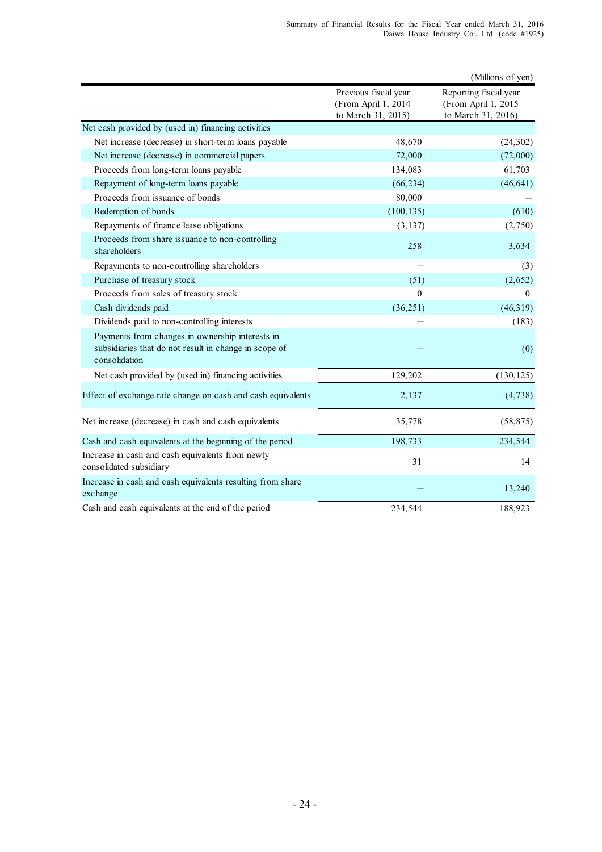|                                                                                                                           |                                                                   | (Millions of yen)                                                  |
|---------------------------------------------------------------------------------------------------------------------------|-------------------------------------------------------------------|--------------------------------------------------------------------|
|                                                                                                                           | Previous fiscal year<br>(From April 1, 2014<br>to March 31, 2015) | Reporting fiscal year<br>(From April 1, 2015<br>to March 31, 2016) |
| Net cash provided by (used in) financing activities                                                                       |                                                                   |                                                                    |
| Net increase (decrease) in short-term loans payable                                                                       | 48,670                                                            | (24, 302)                                                          |
| Net increase (decrease) in commercial papers                                                                              | 72,000                                                            | (72,000)                                                           |
| Proceeds from long-term loans payable                                                                                     | 134,083                                                           | 61,703                                                             |
| Repayment of long-term loans payable                                                                                      | (66, 234)                                                         | (46, 641)                                                          |
| Proceeds from issuance of bonds                                                                                           | 80,000                                                            |                                                                    |
| Redemption of bonds                                                                                                       | (100, 135)                                                        | (610)                                                              |
| Repayments of finance lease obligations                                                                                   | (3, 137)                                                          | (2,750)                                                            |
| Proceeds from share issuance to non-controlling<br>shareholders                                                           | 258                                                               | 3,634                                                              |
| Repayments to non-controlling shareholders                                                                                |                                                                   | (3)                                                                |
| Purchase of treasury stock                                                                                                | (51)                                                              | (2,652)                                                            |
| Proceeds from sales of treasury stock                                                                                     | $\theta$                                                          | $\Omega$                                                           |
| Cash dividends paid                                                                                                       | (36, 251)                                                         | (46, 319)                                                          |
| Dividends paid to non-controlling interests                                                                               |                                                                   | (183)                                                              |
| Payments from changes in ownership interests in<br>subsidiaries that do not result in change in scope of<br>consolidation |                                                                   | (0)                                                                |
| Net cash provided by (used in) financing activities                                                                       | 129,202                                                           | (130, 125)                                                         |
| Effect of exchange rate change on cash and cash equivalents                                                               | 2,137                                                             | (4,738)                                                            |
| Net increase (decrease) in cash and cash equivalents                                                                      | 35,778                                                            | (58, 875)                                                          |
| Cash and cash equivalents at the beginning of the period                                                                  | 198,733                                                           | 234,544                                                            |
| Increase in cash and cash equivalents from newly<br>consolidated subsidiary                                               | 31                                                                | 14                                                                 |
| Increase in cash and cash equivalents resulting from share<br>exchange                                                    |                                                                   | 13,240                                                             |
| Cash and cash equivalents at the end of the period                                                                        | 234,544                                                           | 188,923                                                            |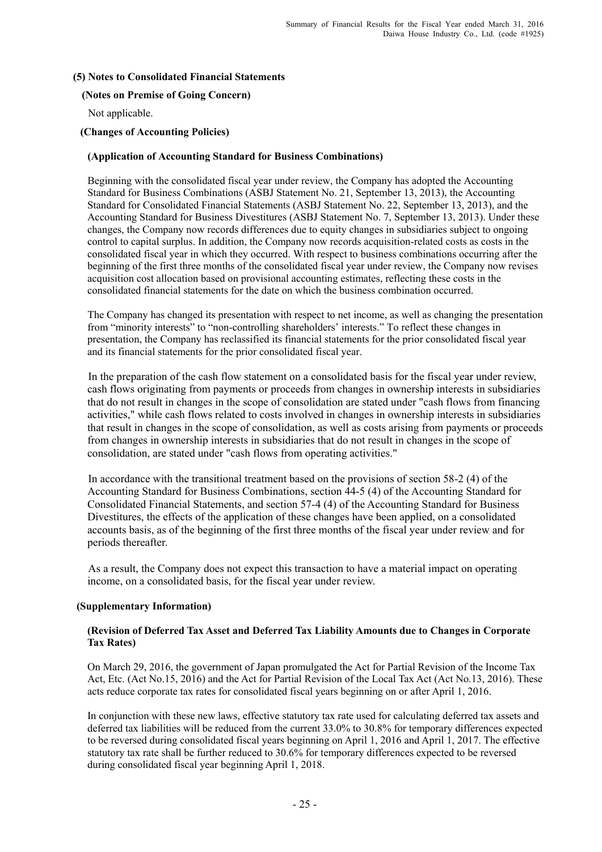#### **(5) Notes to Consolidated Financial Statements**

#### **(Notes on Premise of Going Concern)**

Not applicable.

### **(Changes of Accounting Policies)**

#### **(Application of Accounting Standard for Business Combinations)**

Beginning with the consolidated fiscal year under review, the Company has adopted the Accounting Standard for Business Combinations (ASBJ Statement No. 21, September 13, 2013), the Accounting Standard for Consolidated Financial Statements (ASBJ Statement No. 22, September 13, 2013), and the Accounting Standard for Business Divestitures (ASBJ Statement No. 7, September 13, 2013). Under these changes, the Company now records differences due to equity changes in subsidiaries subject to ongoing control to capital surplus. In addition, the Company now records acquisition-related costs as costs in the consolidated fiscal year in which they occurred. With respect to business combinations occurring after the beginning of the first three months of the consolidated fiscal year under review, the Company now revises acquisition cost allocation based on provisional accounting estimates, reflecting these costs in the consolidated financial statements for the date on which the business combination occurred.

The Company has changed its presentation with respect to net income, as well as changing the presentation from "minority interests" to "non-controlling shareholders' interests." To reflect these changes in presentation, the Company has reclassified its financial statements for the prior consolidated fiscal year and its financial statements for the prior consolidated fiscal year.

In the preparation of the cash flow statement on a consolidated basis for the fiscal year under review, cash flows originating from payments or proceeds from changes in ownership interests in subsidiaries that do not result in changes in the scope of consolidation are stated under "cash flows from financing activities," while cash flows related to costs involved in changes in ownership interests in subsidiaries that result in changes in the scope of consolidation, as well as costs arising from payments or proceeds from changes in ownership interests in subsidiaries that do not result in changes in the scope of consolidation, are stated under "cash flows from operating activities."

In accordance with the transitional treatment based on the provisions of section 58-2 (4) of the Accounting Standard for Business Combinations, section 44-5 (4) of the Accounting Standard for Consolidated Financial Statements, and section 57-4 (4) of the Accounting Standard for Business Divestitures, the effects of the application of these changes have been applied, on a consolidated accounts basis, as of the beginning of the first three months of the fiscal year under review and for periods thereafter.

As a result, the Company does not expect this transaction to have a material impact on operating income, on a consolidated basis, for the fiscal year under review.

#### **(Supplementary Information)**

#### **(Revision of Deferred Tax Asset and Deferred Tax Liability Amounts due to Changes in Corporate Tax Rates)**

On March 29, 2016, the government of Japan promulgated the Act for Partial Revision of the Income Tax Act, Etc. (Act No.15, 2016) and the Act for Partial Revision of the Local Tax Act (Act No.13, 2016). These acts reduce corporate tax rates for consolidated fiscal years beginning on or after April 1, 2016.

In conjunction with these new laws, effective statutory tax rate used for calculating deferred tax assets and deferred tax liabilities will be reduced from the current 33.0% to 30.8% for temporary differences expected to be reversed during consolidated fiscal years beginning on April 1, 2016 and April 1, 2017. The effective statutory tax rate shall be further reduced to 30.6% for temporary differences expected to be reversed during consolidated fiscal year beginning April 1, 2018.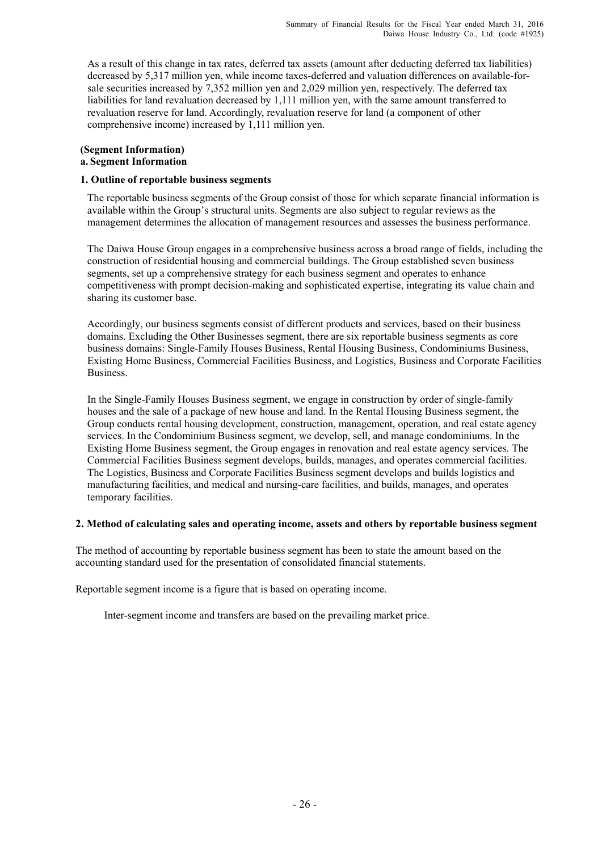As a result of this change in tax rates, deferred tax assets (amount after deducting deferred tax liabilities) decreased by 5,317 million yen, while income taxes-deferred and valuation differences on available-forsale securities increased by 7,352 million yen and 2,029 million yen, respectively. The deferred tax liabilities for land revaluation decreased by 1,111 million yen, with the same amount transferred to revaluation reserve for land. Accordingly, revaluation reserve for land (a component of other comprehensive income) increased by 1,111 million yen.

#### **(Segment Information) a. Segment Information**

#### **1. Outline of reportable business segments**

The reportable business segments of the Group consist of those for which separate financial information is available within the Group's structural units. Segments are also subject to regular reviews as the management determines the allocation of management resources and assesses the business performance.

 The Daiwa House Group engages in a comprehensive business across a broad range of fields, including the construction of residential housing and commercial buildings. The Group established seven business segments, set up a comprehensive strategy for each business segment and operates to enhance competitiveness with prompt decision-making and sophisticated expertise, integrating its value chain and sharing its customer base.

 Accordingly, our business segments consist of different products and services, based on their business domains. Excluding the Other Businesses segment, there are six reportable business segments as core business domains: Single-Family Houses Business, Rental Housing Business, Condominiums Business, Existing Home Business, Commercial Facilities Business, and Logistics, Business and Corporate Facilities Business.

 In the Single-Family Houses Business segment, we engage in construction by order of single-family houses and the sale of a package of new house and land. In the Rental Housing Business segment, the Group conducts rental housing development, construction, management, operation, and real estate agency services. In the Condominium Business segment, we develop, sell, and manage condominiums. In the Existing Home Business segment, the Group engages in renovation and real estate agency services. The Commercial Facilities Business segment develops, builds, manages, and operates commercial facilities. The Logistics, Business and Corporate Facilities Business segment develops and builds logistics and manufacturing facilities, and medical and nursing-care facilities, and builds, manages, and operates temporary facilities.

#### **2. Method of calculating sales and operating income, assets and others by reportable business segment**

The method of accounting by reportable business segment has been to state the amount based on the accounting standard used for the presentation of consolidated financial statements.

Reportable segment income is a figure that is based on operating income.

Inter-segment income and transfers are based on the prevailing market price.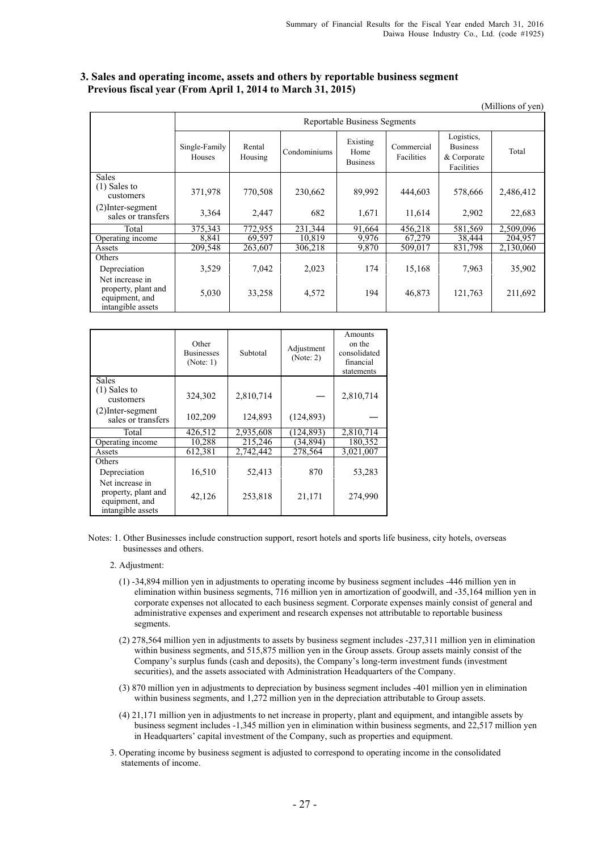#### **3. Sales and operating income, assets and others by reportable business segment Previous fiscal year (From April 1, 2014 to March 31, 2015)**

|                                                                               |                                |                                     |              |                                     |                          |                                                            | (Millions of yen) |  |  |  |
|-------------------------------------------------------------------------------|--------------------------------|-------------------------------------|--------------|-------------------------------------|--------------------------|------------------------------------------------------------|-------------------|--|--|--|
|                                                                               |                                | <b>Reportable Business Segments</b> |              |                                     |                          |                                                            |                   |  |  |  |
|                                                                               | Single-Family<br><b>Houses</b> | Rental<br>Housing                   | Condominiums | Existing<br>Home<br><b>Business</b> | Commercial<br>Facilities | Logistics,<br><b>Business</b><br>& Corporate<br>Facilities | Total             |  |  |  |
| <b>Sales</b><br>$(1)$ Sales to<br>customers                                   | 371,978                        | 770,508                             | 230,662      | 89,992                              | 444,603                  | 578,666                                                    | 2,486,412         |  |  |  |
| $(2)$ Inter-segment<br>sales or transfers                                     | 3,364                          | 2,447                               | 682          | 1,671                               | 11,614                   | 2,902                                                      | 22,683            |  |  |  |
| Total                                                                         | 375,343                        | 772,955                             | 231,344      | 91,664                              | 456,218                  | 581,569                                                    | 2,509,096         |  |  |  |
| Operating income                                                              | 8,841                          | 69,597                              | 10,819       | 9,976                               | 67,279                   | 38,444                                                     | 204,957           |  |  |  |
| Assets                                                                        | 209,548                        | 263,607                             | 306,218      | 9,870                               | 509,017                  | 831,798                                                    | 2,130,060         |  |  |  |
| Others                                                                        |                                |                                     |              |                                     |                          |                                                            |                   |  |  |  |
| Depreciation                                                                  | 3,529                          | 7,042                               | 2,023        | 174                                 | 15,168                   | 7,963                                                      | 35,902            |  |  |  |
| Net increase in<br>property, plant and<br>equipment, and<br>intangible assets | 5,030                          | 33,258                              | 4,572        | 194                                 | 46,873                   | 121,763                                                    | 211,692           |  |  |  |

|                                                                               | Other<br><b>Businesses</b><br>(Note: 1) | Subtotal  | Adjustment<br>(Note: 2) | Amounts<br>on the<br>consolidated<br>financial<br>statements |
|-------------------------------------------------------------------------------|-----------------------------------------|-----------|-------------------------|--------------------------------------------------------------|
| Sales                                                                         |                                         |           |                         |                                                              |
| $(1)$ Sales to<br>customers                                                   | 324,302                                 | 2,810,714 |                         | 2,810,714                                                    |
| $(2)$ Inter-segment<br>sales or transfers                                     | 102,209                                 | 124,893   | (124, 893)              |                                                              |
| Total                                                                         | 426,512                                 | 2,935,608 | (124, 893)              | 2,810,714                                                    |
| Operating income                                                              | 10,288                                  | 215,246   | (34,894)                | 180,352                                                      |
| Assets                                                                        | 612,381                                 | 2,742,442 | 278,564                 | 3,021,007                                                    |
| Others                                                                        |                                         |           |                         |                                                              |
| Depreciation                                                                  | 16,510                                  | 52,413    | 870                     | 53,283                                                       |
| Net increase in<br>property, plant and<br>equipment, and<br>intangible assets | 42,126                                  | 253,818   | 21,171                  | 274,990                                                      |

Notes: 1. Other Businesses include construction support, resort hotels and sports life business, city hotels, overseas businesses and others.

- 2. Adjustment:
	- (1) -34,894 million yen in adjustments to operating income by business segment includes -446 million yen in elimination within business segments, 716 million yen in amortization of goodwill, and -35,164 million yen in corporate expenses not allocated to each business segment. Corporate expenses mainly consist of general and administrative expenses and experiment and research expenses not attributable to reportable business segments.
	- (2) 278,564 million yen in adjustments to assets by business segment includes -237,311 million yen in elimination within business segments, and 515,875 million yen in the Group assets. Group assets mainly consist of the Company's surplus funds (cash and deposits), the Company's long-term investment funds (investment securities), and the assets associated with Administration Headquarters of the Company.
	- (3) 870 million yen in adjustments to depreciation by business segment includes -401 million yen in elimination within business segments, and 1,272 million yen in the depreciation attributable to Group assets.
	- (4) 21,171 million yen in adjustments to net increase in property, plant and equipment, and intangible assets by business segment includes -1,345 million yen in elimination within business segments, and 22,517 million yen in Headquarters' capital investment of the Company, such as properties and equipment.
- 3. Operating income by business segment is adjusted to correspond to operating income in the consolidated statements of income.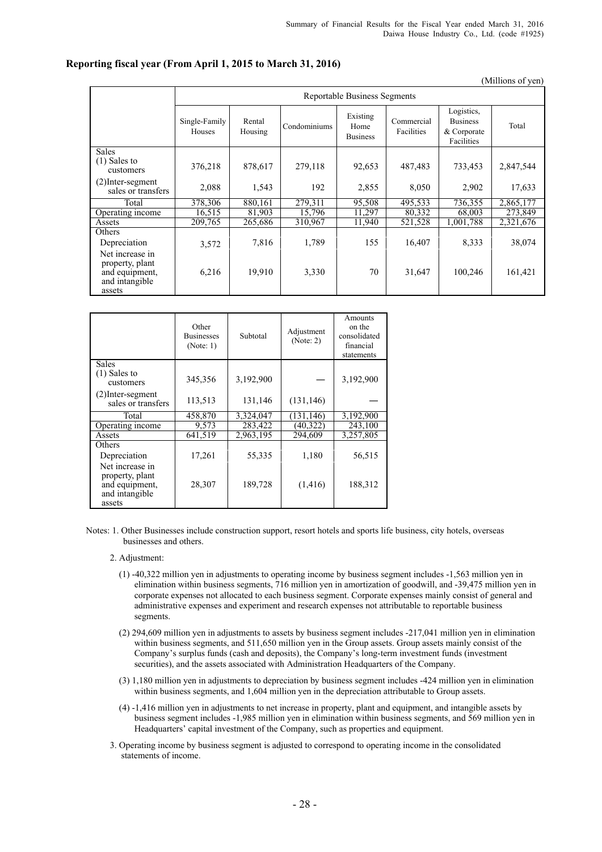## **Reporting fiscal year (From April 1, 2015 to March 31, 2016)**

|                                                                                  |                         |                              |              |                                     |                          |                                                            | (Millions of yen) |  |  |  |
|----------------------------------------------------------------------------------|-------------------------|------------------------------|--------------|-------------------------------------|--------------------------|------------------------------------------------------------|-------------------|--|--|--|
|                                                                                  |                         | Reportable Business Segments |              |                                     |                          |                                                            |                   |  |  |  |
|                                                                                  | Single-Family<br>Houses | Rental<br>Housing            | Condominiums | Existing<br>Home<br><b>Business</b> | Commercial<br>Facilities | Logistics,<br><b>Business</b><br>& Corporate<br>Facilities | Total             |  |  |  |
| <b>Sales</b><br>$(1)$ Sales to<br>customers                                      | 376,218                 | 878,617                      | 279,118      | 92,653                              | 487,483                  | 733,453                                                    | 2,847,544         |  |  |  |
| (2)Inter-segment<br>sales or transfers                                           | 2,088                   | 1,543                        | 192          | 2,855                               | 8,050                    | 2,902                                                      | 17,633            |  |  |  |
| Total                                                                            | 378.306                 | 880.161                      | 279.311      | 95.508                              | 495.533                  | 736.355                                                    | 2,865,177         |  |  |  |
| Operating income                                                                 | 16,515                  | 81,903                       | 15.796       | 11.297                              | 80,332                   | 68,003                                                     | 273,849           |  |  |  |
| Assets                                                                           | 209,765                 | 265,686                      | 310,967      | 11,940                              | 521,528                  | 1,001,788                                                  | 2,321,676         |  |  |  |
| Others                                                                           |                         |                              |              |                                     |                          |                                                            |                   |  |  |  |
| Depreciation                                                                     | 3,572                   | 7,816                        | 1,789        | 155                                 | 16,407                   | 8,333                                                      | 38,074            |  |  |  |
| Net increase in<br>property, plant<br>and equipment,<br>and intangible<br>assets | 6,216                   | 19,910                       | 3,330        | 70                                  | 31,647                   | 100,246                                                    | 161,421           |  |  |  |

|                                                                                  | Other<br><b>Businesses</b><br>(Note: 1) | Subtotal  | Adjustment<br>(Note: 2) | Amounts<br>on the<br>consolidated<br>financial<br>statements |
|----------------------------------------------------------------------------------|-----------------------------------------|-----------|-------------------------|--------------------------------------------------------------|
| <b>Sales</b><br>$(1)$ Sales to<br>customers                                      | 345,356                                 | 3,192,900 |                         | 3,192,900                                                    |
| $(2)$ Inter-segment<br>sales or transfers                                        | 113,513                                 | 131,146   | (131, 146)              |                                                              |
| Total                                                                            | 458,870                                 | 3,324,047 | (131, 146)              | 3,192,900                                                    |
| Operating income                                                                 | 9,573                                   | 283,422   | (40, 322)               | 243,100                                                      |
| Assets                                                                           | 641,519                                 | 2,963,195 | 294.609                 | 3,257,805                                                    |
| Others                                                                           |                                         |           |                         |                                                              |
| Depreciation                                                                     | 17,261                                  | 55,335    | 1,180                   | 56,515                                                       |
| Net increase in<br>property, plant<br>and equipment,<br>and intangible<br>assets | 28,307                                  | 189,728   | (1,416)                 | 188,312                                                      |

Notes: 1. Other Businesses include construction support, resort hotels and sports life business, city hotels, overseas businesses and others.

- 2. Adjustment:
	- (1) -40,322 million yen in adjustments to operating income by business segment includes -1,563 million yen in elimination within business segments, 716 million yen in amortization of goodwill, and -39,475 million yen in corporate expenses not allocated to each business segment. Corporate expenses mainly consist of general and administrative expenses and experiment and research expenses not attributable to reportable business segments.
	- (2) 294,609 million yen in adjustments to assets by business segment includes -217,041 million yen in elimination within business segments, and 511,650 million yen in the Group assets. Group assets mainly consist of the Company's surplus funds (cash and deposits), the Company's long-term investment funds (investment securities), and the assets associated with Administration Headquarters of the Company.
	- (3) 1,180 million yen in adjustments to depreciation by business segment includes -424 million yen in elimination within business segments, and 1,604 million yen in the depreciation attributable to Group assets.
	- (4) -1,416 million yen in adjustments to net increase in property, plant and equipment, and intangible assets by business segment includes -1,985 million yen in elimination within business segments, and 569 million yen in Headquarters' capital investment of the Company, such as properties and equipment.
- 3. Operating income by business segment is adjusted to correspond to operating income in the consolidated statements of income.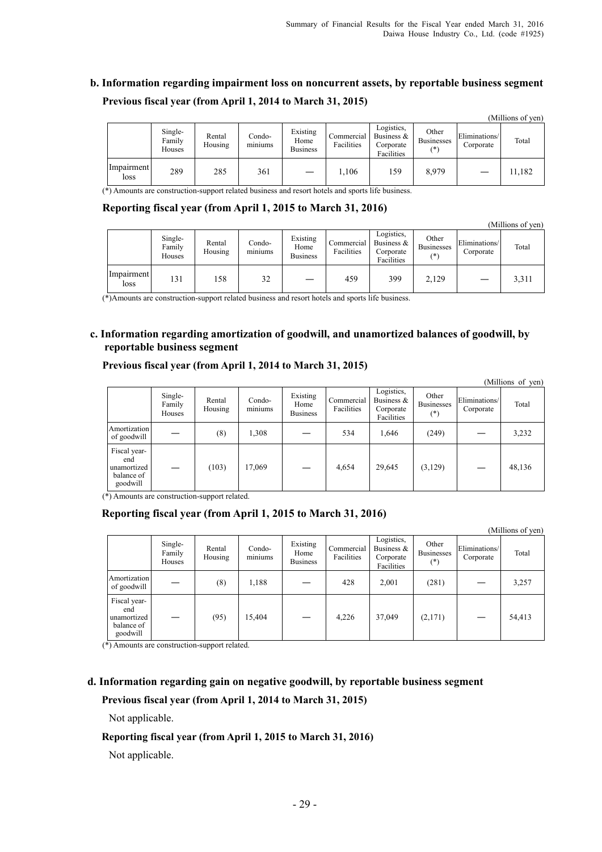$\alpha$  curves of  $\alpha$ 

# **b. Information regarding impairment loss on noncurrent assets, by reportable business segment Previous fiscal year (from April 1, 2014 to March 31, 2015)**

|                    |                             |                   |                                    |                                     |                          |                                                        |                                     |                            | (IVIIIIIons 01 ven) |
|--------------------|-----------------------------|-------------------|------------------------------------|-------------------------------------|--------------------------|--------------------------------------------------------|-------------------------------------|----------------------------|---------------------|
|                    | Single-<br>Family<br>Houses | Rental<br>Housing | Condo-<br>$\sim$ $\sim$<br>miniums | Existing<br>Home<br><b>Business</b> | Commercial<br>Facilities | Logistics.<br>Business $\&$<br>Corporate<br>Facilities | Other<br><b>Businesses</b><br>$(*)$ | Eliminations/<br>Corporate | Total               |
| Impairment<br>loss | 289                         | 285               | 361                                |                                     | 1,106                    | 59ء                                                    | 8,979                               |                            | 11,182              |

(\*) Amounts are construction-support related business and resort hotels and sports life business.

#### **Reporting fiscal year (from April 1, 2015 to March 31, 2016)**

|                    |                             |                   |                                      |                                     |                          |                                                        |                                     |                            | (Millions of yen) |
|--------------------|-----------------------------|-------------------|--------------------------------------|-------------------------------------|--------------------------|--------------------------------------------------------|-------------------------------------|----------------------------|-------------------|
|                    | Single-<br>Family<br>Houses | Rental<br>Housing | Condo-<br>$\cdot$ $\cdot$<br>miniums | Existing<br>Home<br><b>Business</b> | Commercial<br>Facilities | Logistics,<br>Business $\&$<br>Corporate<br>Facilities | Other<br><b>Businesses</b><br>$(*)$ | Eliminations/<br>Corporate | Total             |
| Impairment<br>loss | 131                         | 158               | 32                                   |                                     | 459                      | 399                                                    | 2,129                               |                            | 3,311             |

(\*)Amounts are construction-support related business and resort hotels and sports life business.

#### **c. Information regarding amortization of goodwill, and unamortized balances of goodwill, by reportable business segment**

#### **Previous fiscal year (from April 1, 2014 to March 31, 2015)**

|                                                              |                             |                   |                   |                                     |                          |                                                        |                                     |                            | (Millions of yen) |
|--------------------------------------------------------------|-----------------------------|-------------------|-------------------|-------------------------------------|--------------------------|--------------------------------------------------------|-------------------------------------|----------------------------|-------------------|
|                                                              | Single-<br>Family<br>Houses | Rental<br>Housing | Condo-<br>miniums | Existing<br>Home<br><b>Business</b> | Commercial<br>Facilities | Logistics,<br>Business $\&$<br>Corporate<br>Facilities | Other<br><b>Businesses</b><br>$(*)$ | Eliminations/<br>Corporate | Total             |
| Amortization<br>of goodwill                                  |                             | (8)               | 1,308             |                                     | 534                      | 1,646                                                  | (249)                               |                            | 3,232             |
| Fiscal year-<br>end<br>unamortized<br>balance of<br>goodwill |                             | (103)             | 17,069            |                                     | 4,654                    | 29,645                                                 | (3,129)                             |                            | 48,136            |

(\*) Amounts are construction-support related.

#### **Reporting fiscal year (from April 1, 2015 to March 31, 2016)**

|                                                              |                             |                   |                   |                                     |                          |                                                       |                                     |                            | (Millions of yen) |
|--------------------------------------------------------------|-----------------------------|-------------------|-------------------|-------------------------------------|--------------------------|-------------------------------------------------------|-------------------------------------|----------------------------|-------------------|
|                                                              | Single-<br>Family<br>Houses | Rental<br>Housing | Condo-<br>miniums | Existing<br>Home<br><b>Business</b> | Commercial<br>Facilities | Logistics,<br>Business $&$<br>Corporate<br>Facilities | Other<br><b>Businesses</b><br>$(*)$ | Eliminations/<br>Corporate | Total             |
| Amortization<br>of goodwill                                  |                             | (8)               | 1,188             |                                     | 428                      | 2,001                                                 | (281)                               |                            | 3,257             |
| Fiscal year-<br>end<br>unamortized<br>balance of<br>goodwill |                             | (95)              | 15,404            |                                     | 4,226                    | 37,049                                                | (2,171)                             |                            | 54,413            |

(\*) Amounts are construction-support related.

## **d. Information regarding gain on negative goodwill, by reportable business segment Previous fiscal year (from April 1, 2014 to March 31, 2015)**

Not applicable.

#### **Reporting fiscal year (from April 1, 2015 to March 31, 2016)**

Not applicable.